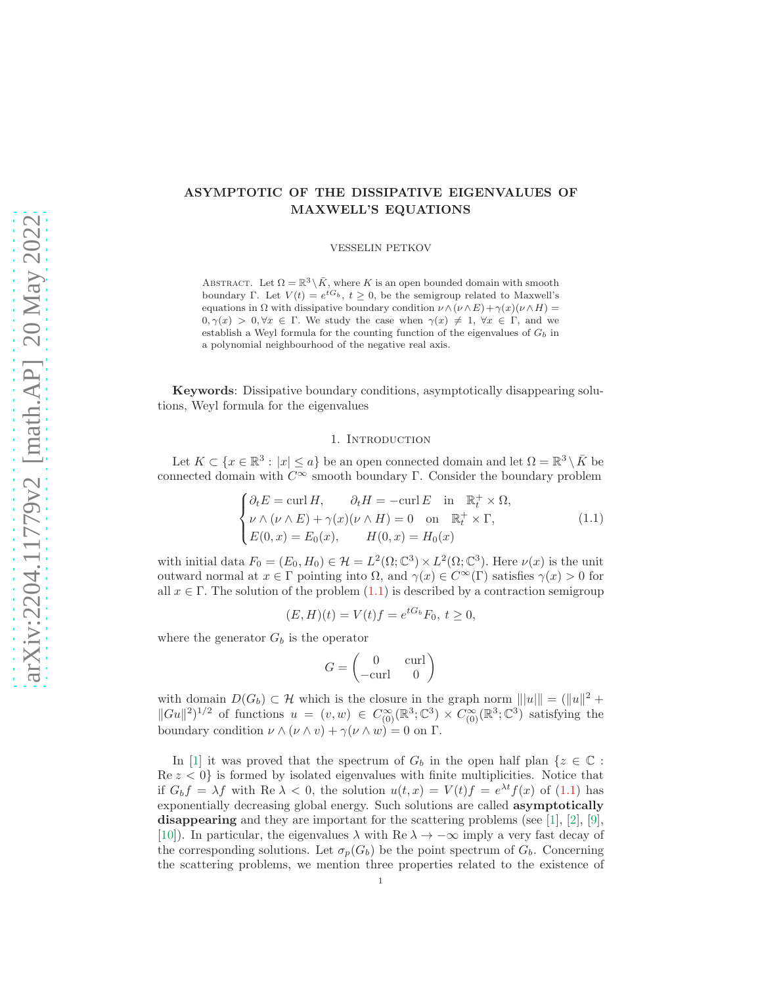# arXiv:2204.11779v2 [math.AP] 20 May 2022 [arXiv:2204.11779v2 \[math.AP\] 20 May 2022](http://arxiv.org/abs/2204.11779v2)

# ASYMPTOTIC OF THE DISSIPATIVE EIGENVALUES OF MAXWELL'S EQUATIONS

VESSELIN PETKOV

ABSTRACT. Let  $\Omega = \mathbb{R}^3 \setminus \overline{K}$ , where K is an open bounded domain with smooth boundary Γ. Let  $V(t) = e^{tG_b}$ ,  $t \geq 0$ , be the semigroup related to Maxwell's equations in  $\Omega$  with dissipative boundary condition  $\nu \wedge (\nu \wedge E) + \gamma(x)(\nu \wedge H) =$  $0, \gamma(x) > 0, \forall x \in \Gamma$ . We study the case when  $\gamma(x) \neq 1, \forall x \in \Gamma$ , and we establish a Weyl formula for the counting function of the eigenvalues of  $G<sub>b</sub>$  in a polynomial neighbourhood of the negative real axis.

Keywords: Dissipative boundary conditions, asymptotically disappearing solutions, Weyl formula for the eigenvalues

# 1. INTRODUCTION

Let  $K \subset \{x \in \mathbb{R}^3 : |x| \le a\}$  be an open connected domain and let  $\Omega = \mathbb{R}^3 \setminus \overline{K}$  be connected domain with  $\overline{C^{\infty}}$  smooth boundary Γ. Consider the boundary problem

<span id="page-0-0"></span>
$$
\begin{cases}\n\partial_t E = \text{curl } H, & \partial_t H = -\text{curl } E \text{ in } \mathbb{R}_t^+ \times \Omega, \\
\nu \wedge (\nu \wedge E) + \gamma(x)(\nu \wedge H) = 0 \text{ on } \mathbb{R}_t^+ \times \Gamma, \\
E(0, x) = E_0(x), & H(0, x) = H_0(x)\n\end{cases}
$$
\n(1.1)

with initial data  $F_0 = (E_0, H_0) \in \mathcal{H} = L^2(\Omega; \mathbb{C}^3) \times L^2(\Omega; \mathbb{C}^3)$ . Here  $\nu(x)$  is the unit outward normal at  $x \in \Gamma$  pointing into  $\Omega$ , and  $\gamma(x) \in C^{\infty}(\Gamma)$  satisfies  $\gamma(x) > 0$  for all  $x \in \Gamma$ . The solution of the problem [\(1.1\)](#page-0-0) is described by a contraction semigroup

$$
(E, H)(t) = V(t)f = e^{tG_b}F_0, t \ge 0,
$$

where the generator  $G_b$  is the operator

$$
G = \begin{pmatrix} 0 & \text{curl} \\ -\text{curl} & 0 \end{pmatrix}
$$

with domain  $D(G_b) \subset \mathcal{H}$  which is the closure in the graph norm  $|||u||| = (||u||^2 +$  $||Gu||^2$ <sup>1/2</sup> of functions  $u = (v, w) \in C^{\infty}_{(0)}(\mathbb{R}^3; \mathbb{C}^3) \times C^{\infty}_{(0)}(\mathbb{R}^3; \mathbb{C}^3)$  satisfying the boundary condition  $\nu \wedge (\nu \wedge v) + \gamma(\nu \wedge w) = 0$  on  $\Gamma$ .

In [\[1\]](#page-19-0) it was proved that the spectrum of  $G_b$  in the open half plan  $\{z \in \mathbb{C} :$  $\text{Re } z < 0$  is formed by isolated eigenvalues with finite multiplicities. Notice that if  $G_b f = \lambda f$  with Re  $\lambda < 0$ , the solution  $u(t,x) = V(t)f = e^{\lambda t} f(x)$  of [\(1.1\)](#page-0-0) has exponentially decreasing global energy. Such solutions are called asymptotically disappearing and they are important for the scattering problems (see [\[1\]](#page-19-0), [\[2\]](#page-19-1), [\[9\]](#page-19-2), [\[10\]](#page-19-3)). In particular, the eigenvalues  $\lambda$  with Re  $\lambda \to -\infty$  imply a very fast decay of the corresponding solutions. Let  $\sigma_p(G_b)$  be the point spectrum of  $G_b$ . Concerning the scattering problems, we mention three properties related to the existence of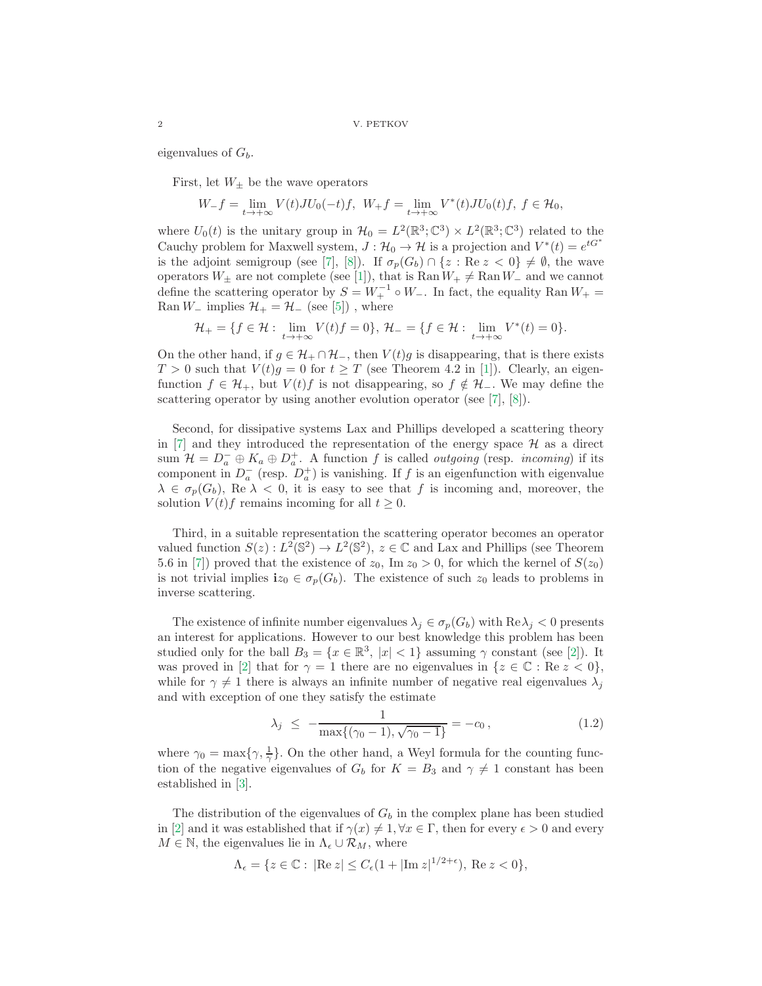eigenvalues of  $G_b$ .

First, let  $W_{\pm}$  be the wave operators

$$
W_-f=\lim_{t\to+\infty}V(t)JU_0(-t)f,\ \ W_+f=\lim_{t\to+\infty}V^*(t)JU_0(t)f,\ f\in\mathcal{H}_0,
$$

where  $U_0(t)$  is the unitary group in  $\mathcal{H}_0 = L^2(\mathbb{R}^3; \mathbb{C}^3) \times L^2(\mathbb{R}^3; \mathbb{C}^3)$  related to the Cauchy problem for Maxwell system,  $J: \mathcal{H}_0 \to \mathcal{H}$  is a projection and  $V^*(t) = e^{tG^*}$ is the adjoint semigroup (see [\[7\]](#page-19-4), [\[8\]](#page-19-5)). If  $\sigma_p(G_b) \cap \{z : \text{Re } z < 0\} \neq \emptyset$ , the wave operators  $W_{\pm}$  are not complete (see [\[1\]](#page-19-0)), that is Ran  $W_{+} \neq$  Ran  $W_{-}$  and we cannot define the scattering operator by  $S = W_+^{-1} \circ W_-\$ . In fact, the equality Ran  $W_+ =$ Ran  $W_-\$  implies  $\mathcal{H}_+ = \mathcal{H}_-\$  (see [\[5\]](#page-19-6)), where

$$
\mathcal{H}_+=\{f\in\mathcal{H}:\ \lim_{t\to+\infty}V(t)f=0\},\ \mathcal{H}_-=\{f\in\mathcal{H}:\ \lim_{t\to+\infty}V^*(t)=0\}.
$$

On the other hand, if  $g \in \mathcal{H}_+ \cap \mathcal{H}_-$ , then  $V(t)g$  is disappearing, that is there exists  $T > 0$  such that  $V(t)g = 0$  for  $t \geq T$  (see Theorem 4.2 in [\[1\]](#page-19-0)). Clearly, an eigenfunction  $f \in \mathcal{H}_+$ , but  $V(t)f$  is not disappearing, so  $f \notin \mathcal{H}_-$ . We may define the scattering operator by using another evolution operator (see [\[7\]](#page-19-4), [\[8\]](#page-19-5)).

Second, for dissipative systems Lax and Phillips developed a scattering theory in  $[7]$  and they introduced the representation of the energy space  $\mathcal H$  as a direct sum  $\mathcal{H} = D_a^- \oplus K_a \oplus D_a^+$ . A function f is called *outgoing* (resp. *incoming*) if its component in  $D_a^-$  (resp.  $D_a^+$ ) is vanishing. If f is an eigenfunction with eigenvalue  $\lambda \in \sigma_p(G_b)$ , Re  $\lambda < 0$ , it is easy to see that f is incoming and, moreover, the solution  $V(t)f$  remains incoming for all  $t \geq 0$ .

Third, in a suitable representation the scattering operator becomes an operator valued function  $S(z): L^2(\mathbb{S}^2) \to L^2(\mathbb{S}^2)$ ,  $z \in \mathbb{C}$  and Lax and Phillips (see Theorem 5.6 in [\[7\]](#page-19-4)) proved that the existence of  $z_0$ , Im  $z_0 > 0$ , for which the kernel of  $S(z_0)$ is not trivial implies  $i z_0 \in \sigma_p(G_b)$ . The existence of such  $z_0$  leads to problems in inverse scattering.

The existence of infinite number eigenvalues  $\lambda_j \in \sigma_p(G_b)$  with  $\text{Re}\lambda_j < 0$  presents an interest for applications. However to our best knowledge this problem has been studied only for the ball  $B_3 = \{x \in \mathbb{R}^3, |x| < 1\}$  assuming  $\gamma$  constant (see [\[2\]](#page-19-1)). It was proved in [\[2\]](#page-19-1) that for  $\gamma = 1$  there are no eigenvalues in  $\{z \in \mathbb{C} : \text{Re } z < 0\},\$ while for  $\gamma \neq 1$  there is always an infinite number of negative real eigenvalues  $\lambda_i$ and with exception of one they satisfy the estimate

$$
\lambda_j \le -\frac{1}{\max\{(\gamma_0 - 1), \sqrt{\gamma_0 - 1}\}} = -c_0, \tag{1.2}
$$

where  $\gamma_0 = \max\{\gamma, \frac{1}{\gamma}\}\.$  On the other hand, a Weyl formula for the counting function of the negative eigenvalues of  $G_b$  for  $K = B_3$  and  $\gamma \neq 1$  constant has been established in [\[3\]](#page-19-7).

The distribution of the eigenvalues of  $G<sub>b</sub>$  in the complex plane has been studied in [\[2\]](#page-19-1) and it was established that if  $\gamma(x) \neq 1, \forall x \in \Gamma$ , then for every  $\epsilon > 0$  and every  $M \in \mathbb{N}$ , the eigenvalues lie in  $\Lambda_{\epsilon} \cup \mathcal{R}_M$ , where

$$
\Lambda_{\epsilon} = \{ z \in \mathbb{C} : \left| \text{Re } z \right| \le C_{\epsilon} (1 + \left| \text{Im } z \right|^{1/2 + \epsilon}), \text{ Re } z < 0 \},\
$$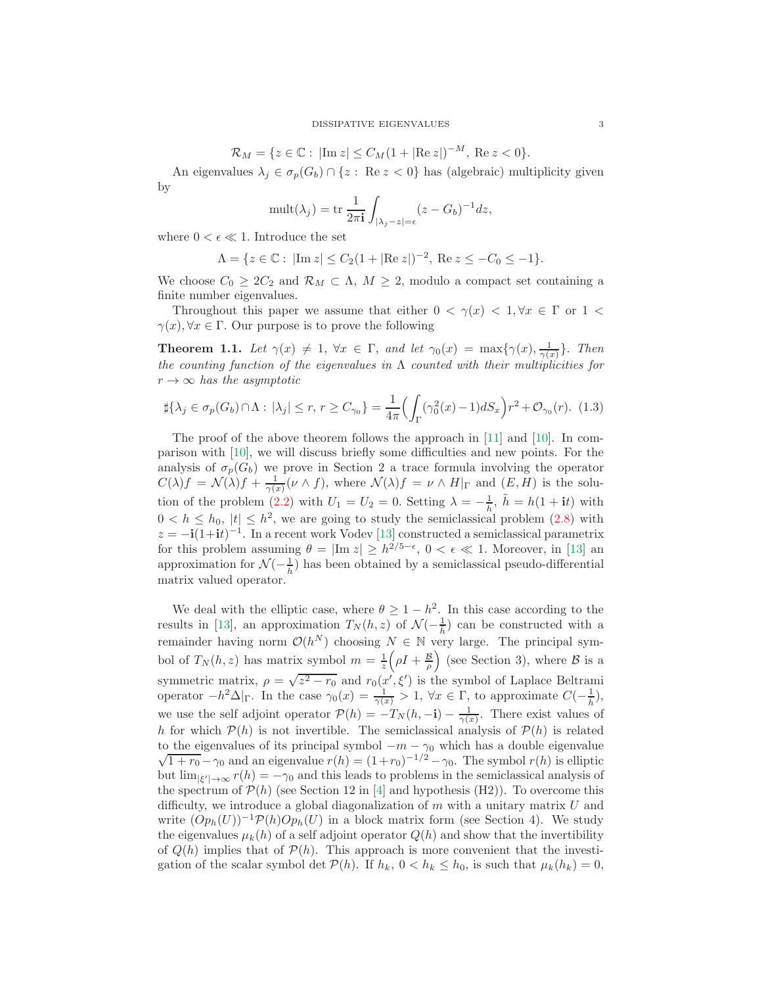$$
\mathcal{R}_M = \{ z \in \mathbb{C} : |\text{Im } z| \le C_M (1 + |\text{Re } z|)^{-M}, \text{ Re } z < 0 \}.
$$

An eigenvalues  $\lambda_j \in \sigma_p(G_b) \cap \{z : \text{Re } z < 0\}$  has (algebraic) multiplicity given by

$$
\text{mult}(\lambda_j) = \text{tr}\,\frac{1}{2\pi\mathbf{i}}\int_{|\lambda_j - z| = \epsilon} (z - G_b)^{-1} dz,
$$

where  $0 < \epsilon \ll 1$ . Introduce the set

$$
\Lambda = \{ z \in \mathbb{C} : |\text{Im } z| \le C_2 (1 + |\text{Re } z|)^{-2}, \text{ Re } z \le -C_0 \le -1 \}.
$$

We choose  $C_0 \geq 2C_2$  and  $\mathcal{R}_M \subset \Lambda$ ,  $M \geq 2$ , modulo a compact set containing a finite number eigenvalues.

Throughout this paper we assume that either  $0 < \gamma(x) < 1, \forall x \in \Gamma$  or  $1 <$  $\gamma(x), \forall x \in \Gamma$ . Our purpose is to prove the following

**Theorem 1.1.** Let  $\gamma(x) \neq 1$ ,  $\forall x \in \Gamma$ , and let  $\gamma_0(x) = \max\{\gamma(x), \frac{1}{\gamma(x)}\}$ . Then the counting function of the eigenvalues in  $\Lambda$  counted with their multiplicities for  $r \to \infty$  has the asymptotic

<span id="page-2-0"></span>
$$
\sharp{\lambda_j \in \sigma_p(G_b) \cap \Lambda : |\lambda_j| \le r, r \ge C_{\gamma_0}} = \frac{1}{4\pi} \Bigl( \int_{\Gamma} (\gamma_0^2(x) - 1) dS_x \Bigr) r^2 + \mathcal{O}_{\gamma_0}(r). \tag{1.3}
$$

The proof of the above theorem follows the approach in [\[11\]](#page-19-8) and [\[10\]](#page-19-3). In comparison with [\[10\]](#page-19-3), we will discuss briefly some difficulties and new points. For the analysis of  $\sigma_p(G_b)$  we prove in Section 2 a trace formula involving the operator  $C(\lambda)f = \mathcal{N}(\lambda)f + \frac{1}{\gamma(x)}(\nu \wedge f)$ , where  $\mathcal{N}(\lambda)f = \nu \wedge H|_{\Gamma}$  and  $(E, H)$  is the solu-tion of the problem [\(2.2\)](#page-4-0) with  $U_1 = U_2 = 0$ . Setting  $\lambda = -\frac{1}{\tilde{h}}$ ,  $\tilde{h} = h(1 + i t)$  with  $0 < h \leq h_0$ ,  $|t| \leq h^2$ , we are going to study the semiclassical problem [\(2.8\)](#page-6-0) with  $z = -i(1+it)^{-1}$ . In a recent work Vodev [\[13\]](#page-19-9) constructed a semiclassical parametrix for this problem assuming  $\theta = |\text{Im } z| \ge h^{2/5 - \epsilon}$ ,  $0 < \epsilon \ll 1$ . Moreover, in [\[13\]](#page-19-9) an approximation for  $\mathcal{N}(-\frac{1}{\hbar})$  has been obtained by a semiclassical pseudo-differential matrix valued operator.

We deal with the elliptic case, where  $\theta \geq 1 - h^2$ . In this case according to the results in [\[13\]](#page-19-9), an approximation  $T_N(h, z)$  of  $\mathcal{N}(-\frac{1}{h})$  can be constructed with a remainder having norm  $\mathcal{O}(h^N)$  choosing  $N \in \mathbb{N}$  very large. The principal symbol of  $T_N(h, z)$  has matrix symbol  $m = \frac{1}{z} \left( \rho I + \frac{B}{\rho} \right)$  (see Section 3), where  $\beta$  is a symmetric matrix,  $\rho = \sqrt{z^2 - r_0}$  and  $r_0(x', \xi')$  is the symbol of Laplace Beltrami operator  $-h^2\Delta|_{\Gamma}$ . In the case  $\gamma_0(x) = \frac{1}{\gamma(x)} > 1$ ,  $\forall x \in \Gamma$ , to approximate  $C(-\frac{1}{h})$ , we use the self adjoint operator  $\mathcal{P}(h) = -T_N(h, -\mathbf{i}) - \frac{1}{\gamma(x)}$ . There exist values of h for which  $\mathcal{P}(h)$  is not invertible. The semiclassical analysis of  $\mathcal{P}(h)$  is related to the eigenvalues of its principal symbol  $-m - \gamma_0$  which has a double eigenvalue  $\sqrt{1 + r_0} - \gamma_0$  and an eigenvalue  $r(h) = (1 + r_0)^{-1/2} - \gamma_0$ . The symbol  $r(h)$  is elliptic but  $\lim_{|\xi'| \to \infty} r(h) = -\gamma_0$  and this leads to problems in the semiclassical analysis of the spectrum of  $\mathcal{P}(h)$  (see Section 12 in [\[4\]](#page-19-10) and hypothesis (H2)). To overcome this difficulty, we introduce a global diagonalization of  $m$  with a unitary matrix  $U$  and write  $(Op_h(U))^{-1} \mathcal{P}(h) Op_h(U)$  in a block matrix form (see Section 4). We study the eigenvalues  $\mu_k(h)$  of a self adjoint operator  $Q(h)$  and show that the invertibility of  $Q(h)$  implies that of  $P(h)$ . This approach is more convenient that the investigation of the scalar symbol det  $\mathcal{P}(h)$ . If  $h_k$ ,  $0 < h_k \leq h_0$ , is such that  $\mu_k(h_k) = 0$ ,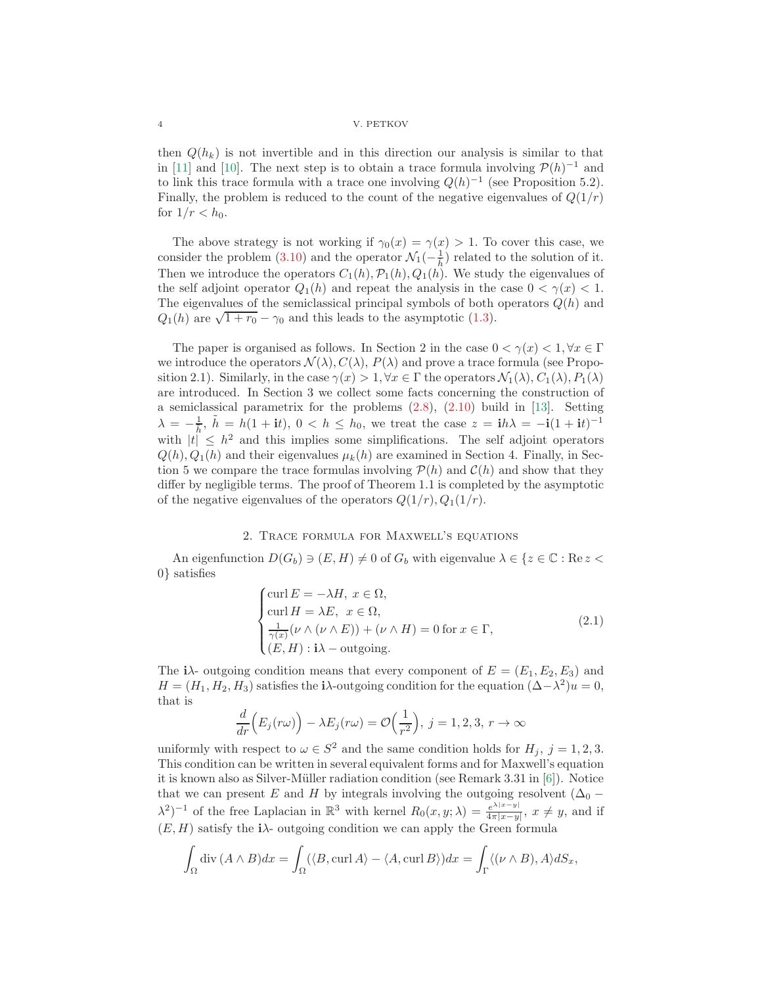then  $Q(h_k)$  is not invertible and in this direction our analysis is similar to that in [\[11\]](#page-19-8) and [\[10\]](#page-19-3). The next step is to obtain a trace formula involving  $\mathcal{P}(h)^{-1}$  and to link this trace formula with a trace one involving  $Q(h)^{-1}$  (see Proposition 5.2). Finally, the problem is reduced to the count of the negative eigenvalues of  $Q(1/r)$ for  $1/r < h_0$ .

The above strategy is not working if  $\gamma_0(x) = \gamma(x) > 1$ . To cover this case, we consider the problem [\(3.10\)](#page-11-0) and the operator  $\mathcal{N}_1(-\frac{1}{h})$  related to the solution of it. Then we introduce the operators  $C_1(h)$ ,  $\mathcal{P}_1(h)$ ,  $\mathcal{Q}_1(h)$ . We study the eigenvalues of the self adjoint operator  $Q_1(h)$  and repeat the analysis in the case  $0 < \gamma(x) < 1$ . The eigenvalues of the semiclassical principal symbols of both operators  $Q(h)$  and  $Q_1(h)$  are  $\sqrt{1 + r_0} - \gamma_0$  and this leads to the asymptotic [\(1.3\)](#page-2-0).

The paper is organised as follows. In Section 2 in the case  $0 < \gamma(x) < 1, \forall x \in \Gamma$ we introduce the operators  $\mathcal{N}(\lambda), C(\lambda), P(\lambda)$  and prove a trace formula (see Proposition 2.1). Similarly, in the case  $\gamma(x) > 1, \forall x \in \Gamma$  the operators  $\mathcal{N}_1(\lambda), C_1(\lambda), P_1(\lambda)$ are introduced. In Section 3 we collect some facts concerning the construction of a semiclassical parametrix for the problems [\(2.8\)](#page-6-0), [\(2.10\)](#page-7-0) build in [\[13\]](#page-19-9). Setting  $\lambda = -\frac{1}{\hbar}, \tilde{h} = h(1 + it), 0 < h \le h_0$ , we treat the case  $z = ih\lambda = -i(1 + it)^{-1}$ with  $|t| \leq h^2$  and this implies some simplifications. The self adjoint operators  $Q(h), Q_1(h)$  and their eigenvalues  $\mu_k(h)$  are examined in Section 4. Finally, in Section 5 we compare the trace formulas involving  $\mathcal{P}(h)$  and  $\mathcal{C}(h)$  and show that they differ by negligible terms. The proof of Theorem 1.1 is completed by the asymptotic of the negative eigenvalues of the operators  $Q(1/r), Q_1(1/r)$ .

# 2. Trace formula for Maxwell's equations

An eigenfunction  $D(G_b) \ni (E, H) \neq 0$  of  $G_b$  with eigenvalue  $\lambda \in \{z \in \mathbb{C} : \text{Re } z <$ 0} satisfies

<span id="page-3-0"></span>
$$
\begin{cases}\n\operatorname{curl} E = -\lambda H, \ x \in \Omega, \\
\operatorname{curl} H = \lambda E, \ x \in \Omega, \\
\frac{1}{\gamma(x)} (\nu \wedge (\nu \wedge E)) + (\nu \wedge H) = 0 \text{ for } x \in \Gamma, \\
(E, H) : \mathbf{i}\lambda - \text{outgoing}.\n\end{cases}
$$
\n(2.1)

The  $i\lambda$ - outgoing condition means that every component of  $E = (E_1, E_2, E_3)$  and  $H = (H_1, H_2, H_3)$  satisfies the i $\lambda$ -outgoing condition for the equation  $(\Delta - \lambda^2)u = 0$ , that is

$$
\frac{d}{dr}\Big(E_j(r\omega)\Big) - \lambda E_j(r\omega) = \mathcal{O}\Big(\frac{1}{r^2}\Big), \ j = 1, 2, 3, r \to \infty
$$

uniformly with respect to  $\omega \in S^2$  and the same condition holds for  $H_j$ ,  $j = 1, 2, 3$ . This condition can be written in several equivalent forms and for Maxwell's equation it is known also as Silver-Müller radiation condition (see Remark 3.31 in  $[6]$ ). Notice that we can present E and H by integrals involving the outgoing resolvent  $(\Delta_0 \lambda^2$ )<sup>-1</sup> of the free Laplacian in  $\mathbb{R}^3$  with kernel  $R_0(x, y; \lambda) = \frac{e^{\lambda |x-y|}}{4\pi |x-y|}$  $\frac{e^{x+x-y}}{4\pi|x-y|}$ ,  $x \neq y$ , and if  $(E, H)$  satisfy the i<sub> $\lambda$ </sub>- outgoing condition we can apply the Green formula

$$
\int_{\Omega} \operatorname{div} (A \wedge B) dx = \int_{\Omega} (\langle B, \operatorname{curl} A \rangle - \langle A, \operatorname{curl} B \rangle) dx = \int_{\Gamma} \langle (\nu \wedge B), A \rangle dS_x,
$$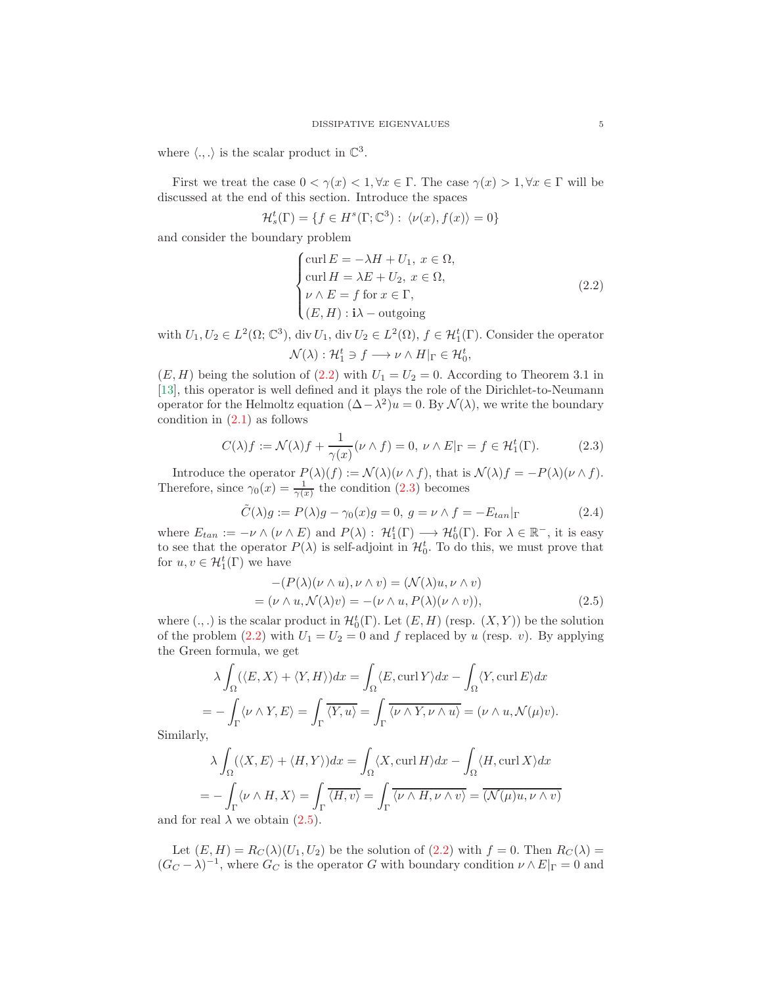where  $\langle .,.\rangle$  is the scalar product in  $\mathbb{C}^3$ .

First we treat the case  $0 < \gamma(x) < 1, \forall x \in \Gamma$ . The case  $\gamma(x) > 1, \forall x \in \Gamma$  will be discussed at the end of this section. Introduce the spaces

$$
\mathcal{H}_s^t(\Gamma) = \{ f \in H^s(\Gamma; \mathbb{C}^3) : \langle \nu(x), f(x) \rangle = 0 \}
$$

and consider the boundary problem

<span id="page-4-0"></span>
$$
\begin{cases}\n\text{curl } E = -\lambda H + U_1, \ x \in \Omega, \\
\text{curl } H = \lambda E + U_2, \ x \in \Omega, \\
\nu \wedge E = f \text{ for } x \in \Gamma, \\
(E, H) : \mathbf{i}\lambda - \text{outgoing}\n\end{cases}
$$
\n(2.2)

with  $U_1, U_2 \in L^2(\Omega; \mathbb{C}^3)$ , div  $U_1$ , div  $U_2 \in L^2(\Omega)$ ,  $f \in \mathcal{H}_1^t(\Gamma)$ . Consider the operator  $\mathcal{N}(\lambda) : \mathcal{H}_1^t \ni f \longrightarrow \nu \wedge H|_{\Gamma} \in \mathcal{H}_0^t,$ 

 $(E, H)$  being the solution of  $(2.2)$  with  $U_1 = U_2 = 0$ . According to Theorem 3.1 in [\[13\]](#page-19-9), this operator is well defined and it plays the role of the Dirichlet-to-Neumann operator for the Helmoltz equation  $(\Delta - \lambda^2)u = 0$ . By  $\mathcal{N}(\lambda)$ , we write the boundary condition in  $(2.1)$  as follows

<span id="page-4-1"></span>
$$
C(\lambda)f := \mathcal{N}(\lambda)f + \frac{1}{\gamma(x)}(\nu \wedge f) = 0, \ \nu \wedge E|_{\Gamma} = f \in \mathcal{H}_1^t(\Gamma). \tag{2.3}
$$

Introduce the operator  $P(\lambda)(f) := \mathcal{N}(\lambda)(\nu \wedge f)$ , that is  $\mathcal{N}(\lambda)f = -P(\lambda)(\nu \wedge f)$ . Therefore, since  $\gamma_0(x) = \frac{1}{\gamma(x)}$  the condition [\(2.3\)](#page-4-1) becomes

<span id="page-4-3"></span>
$$
\tilde{C}(\lambda)g := P(\lambda)g - \gamma_0(x)g = 0, \ g = \nu \wedge f = -E_{tan}|\Gamma
$$
\n(2.4)

where  $E_{tan} := -\nu \wedge (\nu \wedge E)$  and  $P(\lambda) : \mathcal{H}_1^t(\Gamma) \longrightarrow \mathcal{H}_0^t(\Gamma)$ . For  $\lambda \in \mathbb{R}^-$ , it is easy to see that the operator  $P(\lambda)$  is self-adjoint in  $\mathcal{H}_0^t$ . To do this, we must prove that for  $u, v \in \mathcal{H}_1^t(\Gamma)$  we have

<span id="page-4-2"></span>
$$
-(P(\lambda)(\nu \wedge u), \nu \wedge v) = (\mathcal{N}(\lambda)u, \nu \wedge v)
$$
  
= (\nu \wedge u, \mathcal{N}(\lambda)v) = -(\nu \wedge u, P(\lambda)(\nu \wedge v)), \qquad (2.5)

where  $(.,.)$  is the scalar product in  $\mathcal{H}_0^t(\Gamma)$ . Let  $(E, H)$  (resp.  $(X, Y)$ ) be the solution of the problem [\(2.2\)](#page-4-0) with  $U_1 = U_2 = 0$  and f replaced by u (resp. v). By applying the Green formula, we get

$$
\lambda \int_{\Omega} (\langle E, X \rangle + \langle Y, H \rangle) dx = \int_{\Omega} \langle E, \operatorname{curl} Y \rangle dx - \int_{\Omega} \langle Y, \operatorname{curl} E \rangle dx
$$
  
= 
$$
- \int_{\Gamma} \langle \nu \wedge Y, E \rangle = \int_{\Gamma} \overline{\langle Y, u \rangle} = \int_{\Gamma} \overline{\langle \nu \wedge Y, \nu \wedge u \rangle} = (\nu \wedge u, \mathcal{N}(\mu)v).
$$

Similarly,

$$
\lambda \int_{\Omega} (\langle X, E \rangle + \langle H, Y \rangle) dx = \int_{\Omega} \langle X, \operatorname{curl} H \rangle dx - \int_{\Omega} \langle H, \operatorname{curl} X \rangle dx
$$

$$
= - \int_{\Gamma} \langle \nu \wedge H, X \rangle = \int_{\Gamma} \overline{\langle H, v \rangle} = \int_{\Gamma} \overline{\langle \nu \wedge H, \nu \wedge v \rangle} = \overline{(\mathcal{N}(\mu)u, \nu \wedge v)}
$$

and for real  $\lambda$  we obtain [\(2.5\)](#page-4-2).

Let  $(E, H) = R_C(\lambda)(U_1, U_2)$  be the solution of  $(2.2)$  with  $f = 0$ . Then  $R_C(\lambda) =$  $(G_C - \lambda)^{-1}$ , where  $G_C$  is the operator G with boundary condition  $\nu \wedge E|_{\Gamma} = 0$  and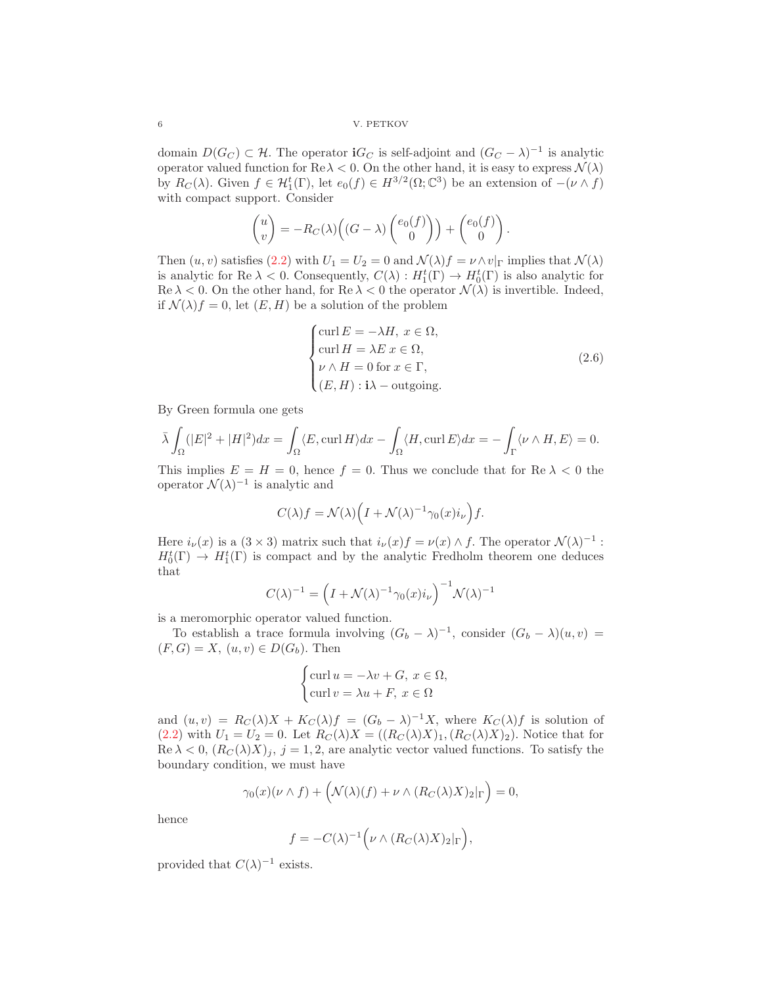domain  $D(G_C) \subset \mathcal{H}$ . The operator **i** $G_C$  is self-adjoint and  $(G_C - \lambda)^{-1}$  is analytic operator valued function for  $\text{Re }\lambda < 0$ . On the other hand, it is easy to express  $\mathcal{N}(\lambda)$ by  $R_C(\lambda)$ . Given  $f \in H_1^t(\Gamma)$ , let  $e_0(f) \in H^{3/2}(\Omega; \mathbb{C}^3)$  be an extension of  $-(\nu \wedge f)$ with compact support. Consider

$$
\begin{pmatrix} u \\ v \end{pmatrix} = -R_C(\lambda) \left( (G - \lambda) \begin{pmatrix} e_0(f) \\ 0 \end{pmatrix} \right) + \begin{pmatrix} e_0(f) \\ 0 \end{pmatrix}.
$$

Then  $(u, v)$  satisfies  $(2.2)$  with  $U_1 = U_2 = 0$  and  $\mathcal{N}(\lambda) f = \nu \wedge v|_{\Gamma}$  implies that  $\mathcal{N}(\lambda)$ is analytic for Re  $\lambda < 0$ . Consequently,  $C(\lambda) : H_1^t(\Gamma) \to H_0^t(\Gamma)$  is also analytic for  $\text{Re }\lambda < 0$ . On the other hand, for  $\text{Re }\lambda < 0$  the operator  $\mathcal{N}(\lambda)$  is invertible. Indeed, if  $\mathcal{N}(\lambda) f = 0$ , let  $(E, H)$  be a solution of the problem

$$
\begin{cases}\n\text{curl } E = -\lambda H, \ x \in \Omega, \\
\text{curl } H = \lambda E \ x \in \Omega, \\
\nu \wedge H = 0 \text{ for } x \in \Gamma, \\
(E, H) : \mathbf{i}\lambda - \text{outgoing}.\n\end{cases} (2.6)
$$

By Green formula one gets

$$
\bar{\lambda} \int_{\Omega} (|E|^2 + |H|^2) dx = \int_{\Omega} \langle E, \operatorname{curl} H \rangle dx - \int_{\Omega} \langle H, \operatorname{curl} E \rangle dx = - \int_{\Gamma} \langle \nu \wedge H, E \rangle = 0.
$$

This implies  $E = H = 0$ , hence  $f = 0$ . Thus we conclude that for Re  $\lambda < 0$  the operator  $\mathcal{N}(\lambda)^{-1}$  is analytic and

$$
C(\lambda)f = \mathcal{N}(\lambda)\Big(I + \mathcal{N}(\lambda)^{-1}\gamma_0(x)i_{\nu}\Big)f.
$$

Here  $i_{\nu}(x)$  is a  $(3 \times 3)$  matrix such that  $i_{\nu}(x)f = \nu(x) \wedge f$ . The operator  $\mathcal{N}(\lambda)^{-1}$ :  $H_0^t(\Gamma) \to H_1^t(\Gamma)$  is compact and by the analytic Fredholm theorem one deduces that

$$
C(\lambda)^{-1} = \left(I + \mathcal{N}(\lambda)^{-1} \gamma_0(x) i_{\nu}\right)^{-1} \mathcal{N}(\lambda)^{-1}
$$

is a meromorphic operator valued function.

To establish a trace formula involving  $(G_b - \lambda)^{-1}$ , consider  $(G_b - \lambda)(u, v) =$  $(F, G) = X$ ,  $(u, v) \in D(G_b)$ . Then

$$
\begin{cases} \text{curl } u = -\lambda v + G, \ x \in \Omega, \\ \text{curl } v = \lambda u + F, \ x \in \Omega \end{cases}
$$

and  $(u, v) = R_C(\lambda)X + K_C(\lambda)f = (G_b - \lambda)^{-1}X$ , where  $K_C(\lambda)f$  is solution of  $(2.2)$  with  $U_1 = U_2 = 0$ . Let  $R_C(\lambda)X = ((R_C(\lambda)X)_1, (R_C(\lambda)X)_2)$ . Notice that for Re  $\lambda < 0$ ,  $(R_C(\lambda)X)_j$ ,  $j = 1, 2$ , are analytic vector valued functions. To satisfy the boundary condition, we must have

$$
\gamma_0(x)(\nu \wedge f) + \left(\mathcal{N}(\lambda)(f) + \nu \wedge (R_C(\lambda)X)_2\vert_{\Gamma}\right) = 0,
$$

hence

$$
f = -C(\lambda)^{-1} \Big( \nu \wedge (R_C(\lambda)X)_2|_{\Gamma} \Big),
$$

provided that  $C(\lambda)^{-1}$  exists.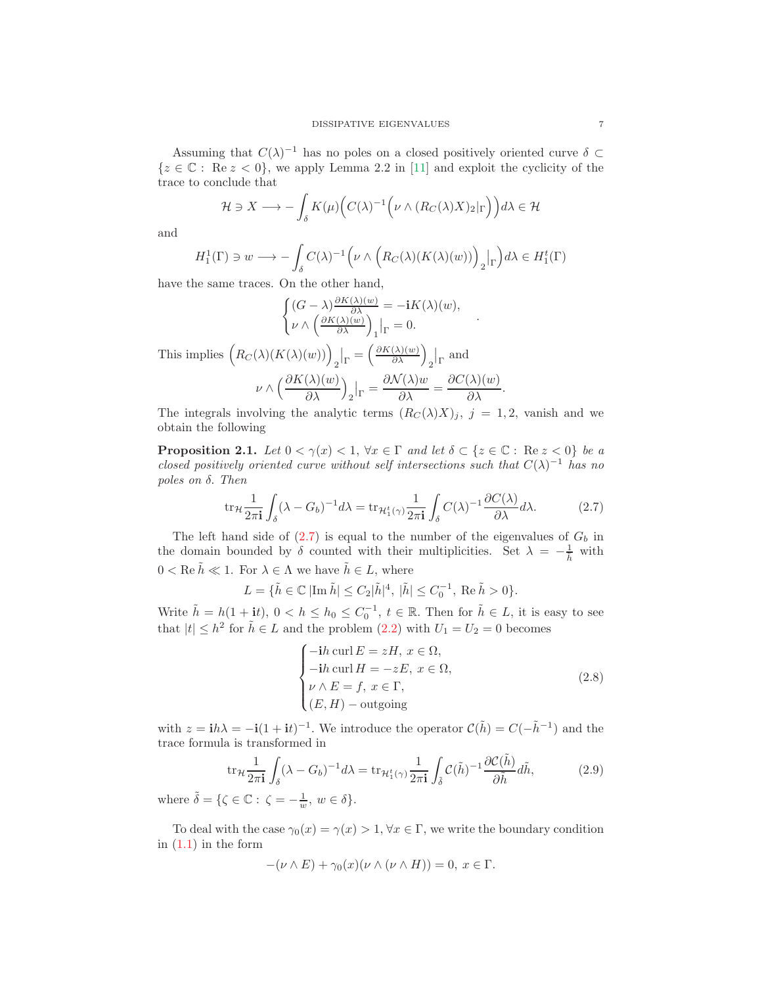Assuming that  $C(\lambda)^{-1}$  has no poles on a closed positively oriented curve  $\delta \subset$  ${z \in \mathbb{C} : \text{Re } z < 0}$ , we apply Lemma 2.2 in [\[11\]](#page-19-8) and exploit the cyclicity of the trace to conclude that

$$
\mathcal{H} \ni X \longrightarrow -\int_{\delta} K(\mu) \Big( C(\lambda)^{-1} \Big( \nu \wedge (R_C(\lambda)X)_2 |_{\Gamma} \Big) \Big) d\lambda \in \mathcal{H}
$$

and

$$
H_1^1(\Gamma) \ni w \longrightarrow -\int_{\delta} C(\lambda)^{-1} \Big(\nu \wedge \Big(R_C(\lambda)(K(\lambda)(w))\Big)_2\big|_{\Gamma}\Big)d\lambda \in H_1^t(\Gamma)
$$

have the same traces. On the other hand,

$$
\begin{cases}\n(G - \lambda) \frac{\partial K(\lambda)(w)}{\partial \lambda} = -\mathbf{i} K(\lambda)(w), \\
\nu \wedge \left(\frac{\partial K(\lambda)(w)}{\partial \lambda}\right)_1 \big|_{\Gamma} = 0.\n\end{cases}
$$
\nThis implies\n
$$
\left(R_C(\lambda)(K(\lambda)(w))\right)_2 \big|_{\Gamma} = \left(\frac{\partial K(\lambda)(w)}{\partial \lambda}\right)_2 \big|_{\Gamma}
$$
\nand\n
$$
\nu \wedge \left(\frac{\partial K(\lambda)(w)}{\partial \lambda}\right)_2 \big|_{\Gamma} = \frac{\partial \mathcal{N}(\lambda)w}{\partial \lambda} = \frac{\partial C(\lambda)(w)}{\partial \lambda}.
$$

The integrals involving the analytic terms  $(R_C(\lambda)X)_j$ ,  $j = 1, 2$ , vanish and we obtain the following

**Proposition 2.1.** Let  $0 < \gamma(x) < 1$ ,  $\forall x \in \Gamma$  and let  $\delta \subset \{z \in \mathbb{C} : \text{Re } z < 0\}$  be a closed positively oriented curve without self intersections such that  $C(\lambda)^{-1}$  has no poles on δ. Then

<span id="page-6-1"></span>
$$
\operatorname{tr}_{\mathcal{H}} \frac{1}{2\pi \mathbf{i}} \int_{\delta} (\lambda - G_b)^{-1} d\lambda = \operatorname{tr}_{\mathcal{H}_1^t(\gamma)} \frac{1}{2\pi \mathbf{i}} \int_{\delta} C(\lambda)^{-1} \frac{\partial C(\lambda)}{\partial \lambda} d\lambda.
$$
 (2.7)

The left hand side of  $(2.7)$  is equal to the number of the eigenvalues of  $G<sub>b</sub>$  in the domain bounded by  $\delta$  counted with their multiplicities. Set  $\lambda = -\frac{1}{h}$  with  $0 < \text{Re }\tilde{h} \ll 1$ . For  $\lambda \in \Lambda$  we have  $\tilde{h} \in L$ , where

$$
L = {\{\tilde{h} \in \mathbb{C} \; | \text{Im} \; \tilde{h} | \leq C_2 |\tilde{h}|^4, \; |\tilde{h}| \leq C_0^{-1}, \; \text{Re} \; \tilde{h} > 0 \}}.
$$

Write  $\tilde{h} = h(1 + it), 0 < h \le h_0 \le C_0^{-1}, t \in \mathbb{R}$ . Then for  $\tilde{h} \in L$ , it is easy to see that  $|t| \leq h^2$  for  $\tilde{h} \in L$  and the problem  $(2.2)$  with  $U_1 = U_2 = 0$  becomes

<span id="page-6-0"></span>
$$
\begin{cases}\n-ih \operatorname{curl} E = zH, \ x \in \Omega, \\
-ih \operatorname{curl} H = -zE, \ x \in \Omega, \\
\nu \wedge E = f, \ x \in \Gamma, \\
(E, H) - \operatorname{outgoing}\n\end{cases} \tag{2.8}
$$

with  $z = \mathbf{i}h\lambda = -\mathbf{i}(1 + \mathbf{i}t)^{-1}$ . We introduce the operator  $\mathcal{C}(\tilde{h}) = C(-\tilde{h}^{-1})$  and the trace formula is transformed in

$$
\text{tr}_{\mathcal{H}} \frac{1}{2\pi i} \int_{\delta} (\lambda - G_b)^{-1} d\lambda = \text{tr}_{\mathcal{H}_1^t(\gamma)} \frac{1}{2\pi i} \int_{\tilde{\delta}} \mathcal{C}(\tilde{h})^{-1} \frac{\partial \mathcal{C}(\tilde{h})}{\partial \tilde{h}} d\tilde{h},\tag{2.9}
$$

where  $\tilde{\delta} = \{ \zeta \in \mathbb{C} : \zeta = -\frac{1}{w}, w \in \delta \}.$ 

To deal with the case  $\gamma_0(x) = \gamma(x) > 1$ ,  $\forall x \in \Gamma$ , we write the boundary condition in  $(1.1)$  in the form

$$
-(\nu \wedge E) + \gamma_0(x)(\nu \wedge (\nu \wedge H)) = 0, x \in \Gamma.
$$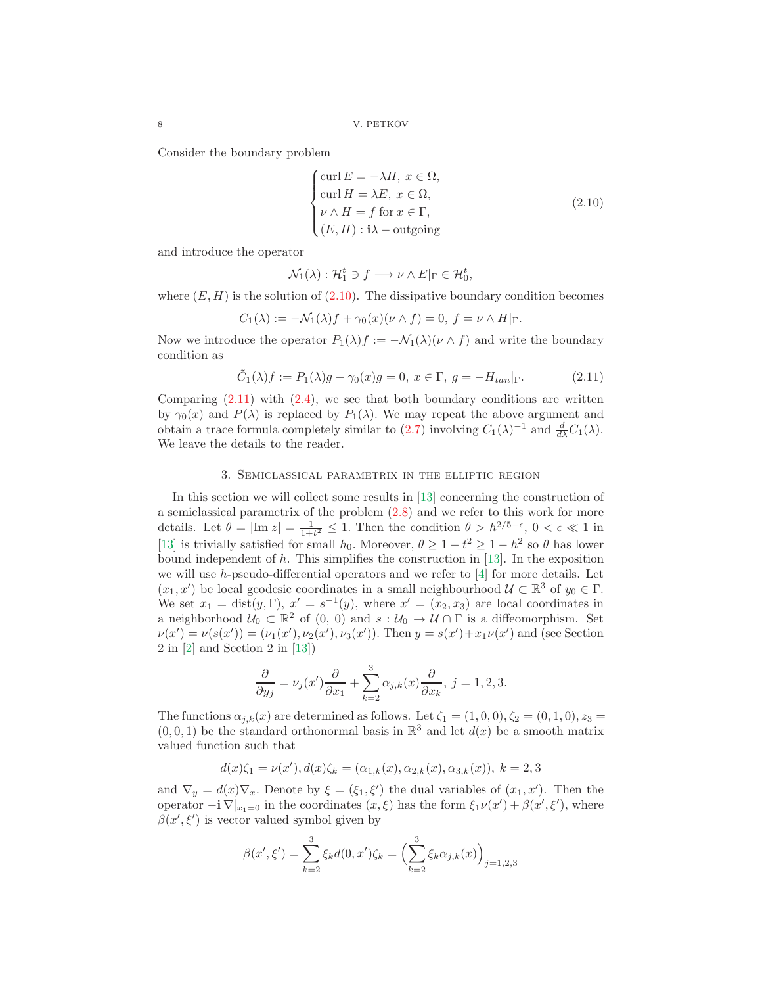Consider the boundary problem

<span id="page-7-0"></span>
$$
\begin{cases}\n\text{curl } E = -\lambda H, \ x \in \Omega, \\
\text{curl } H = \lambda E, \ x \in \Omega, \\
\nu \wedge H = f \text{ for } x \in \Gamma, \\
(E, H) : \mathbf{i}\lambda - \text{outgoing}\n\end{cases}
$$
\n(2.10)

and introduce the operator

$$
\mathcal{N}_1(\lambda) : \mathcal{H}_1^t \ni f \longrightarrow \nu \wedge E|_{\Gamma} \in \mathcal{H}_0^t,
$$

where  $(E, H)$  is the solution of  $(2.10)$ . The dissipative boundary condition becomes

$$
C_1(\lambda) := -\mathcal{N}_1(\lambda)f + \gamma_0(x)(\nu \wedge f) = 0, \ f = \nu \wedge H|_{\Gamma}.
$$

Now we introduce the operator  $P_1(\lambda)f := -\mathcal{N}_1(\lambda)(\nu \wedge f)$  and write the boundary condition as

<span id="page-7-1"></span>
$$
\tilde{C}_1(\lambda)f := P_1(\lambda)g - \gamma_0(x)g = 0, \ x \in \Gamma, \ g = -H_{tan}|\Gamma.
$$
\n(2.11)

Comparing  $(2.11)$  with  $(2.4)$ , we see that both boundary conditions are written by  $\gamma_0(x)$  and  $P(\lambda)$  is replaced by  $P_1(\lambda)$ . We may repeat the above argument and obtain a trace formula completely similar to  $(2.7)$  involving  $C_1(\lambda)^{-1}$  and  $\frac{d}{d\lambda}C_1(\lambda)$ . We leave the details to the reader.

### 3. Semiclassical parametrix in the elliptic region

In this section we will collect some results in [\[13\]](#page-19-9) concerning the construction of a semiclassical parametrix of the problem [\(2.8\)](#page-6-0) and we refer to this work for more details. Let  $\theta = |\text{Im } z| = \frac{1}{1+t^2} \leq 1$ . Then the condition  $\theta > h^{2/5-\epsilon}$ ,  $0 < \epsilon \ll 1$  in [\[13\]](#page-19-9) is trivially satisfied for small  $h_0$ . Moreover,  $\theta \ge 1 - t^2 \ge 1 - h^2$  so  $\theta$  has lower bound independent of  $h$ . This simplifies the construction in [\[13\]](#page-19-9). In the exposition we will use h-pseudo-differential operators and we refer to [\[4\]](#page-19-10) for more details. Let  $(x_1, x')$  be local geodesic coordinates in a small neighbourhood  $\mathcal{U} \subset \mathbb{R}^3$  of  $y_0 \in \Gamma$ . We set  $x_1 = \text{dist}(y, \Gamma)$ ,  $x' = s^{-1}(y)$ , where  $x' = (x_2, x_3)$  are local coordinates in a neighborhood  $U_0 \subset \mathbb{R}^2$  of  $(0, 0)$  and  $s : U_0 \to U \cap \Gamma$  is a diffeomorphism. Set  $\nu(x') = \nu(s(x')) = (\nu_1(x'), \nu_2(x'), \nu_3(x'))$ . Then  $y = s(x') + x_1 \nu(x')$  and (see Section 2 in [\[2\]](#page-19-1) and Section 2 in [\[13\]](#page-19-9))

$$
\frac{\partial}{\partial y_j} = \nu_j(x') \frac{\partial}{\partial x_1} + \sum_{k=2}^3 \alpha_{j,k}(x) \frac{\partial}{\partial x_k}, \ j = 1, 2, 3.
$$

The functions  $\alpha_{i,k}(x)$  are determined as follows. Let  $\zeta_1 = (1,0,0), \zeta_2 = (0,1,0), z_3 =$  $(0, 0, 1)$  be the standard orthonormal basis in  $\mathbb{R}^3$  and let  $d(x)$  be a smooth matrix valued function such that

$$
d(x)\zeta_1 = \nu(x'), d(x)\zeta_k = (\alpha_{1,k}(x), \alpha_{2,k}(x), \alpha_{3,k}(x)), k = 2, 3
$$

and  $\nabla_y = d(x)\nabla_x$ . Denote by  $\xi = (\xi_1, \xi')$  the dual variables of  $(x_1, x')$ . Then the operator  $-i \nabla |_{x_1=0}$  in the coordinates  $(x, \xi)$  has the form  $\xi_1 \nu(x') + \beta(x', \xi')$ , where  $\beta(x', \xi')$  is vector valued symbol given by

$$
\beta(x',\xi') = \sum_{k=2}^{3} \xi_k d(0,x') \zeta_k = \left(\sum_{k=2}^{3} \xi_k \alpha_{j,k}(x)\right)_{j=1,2,3}
$$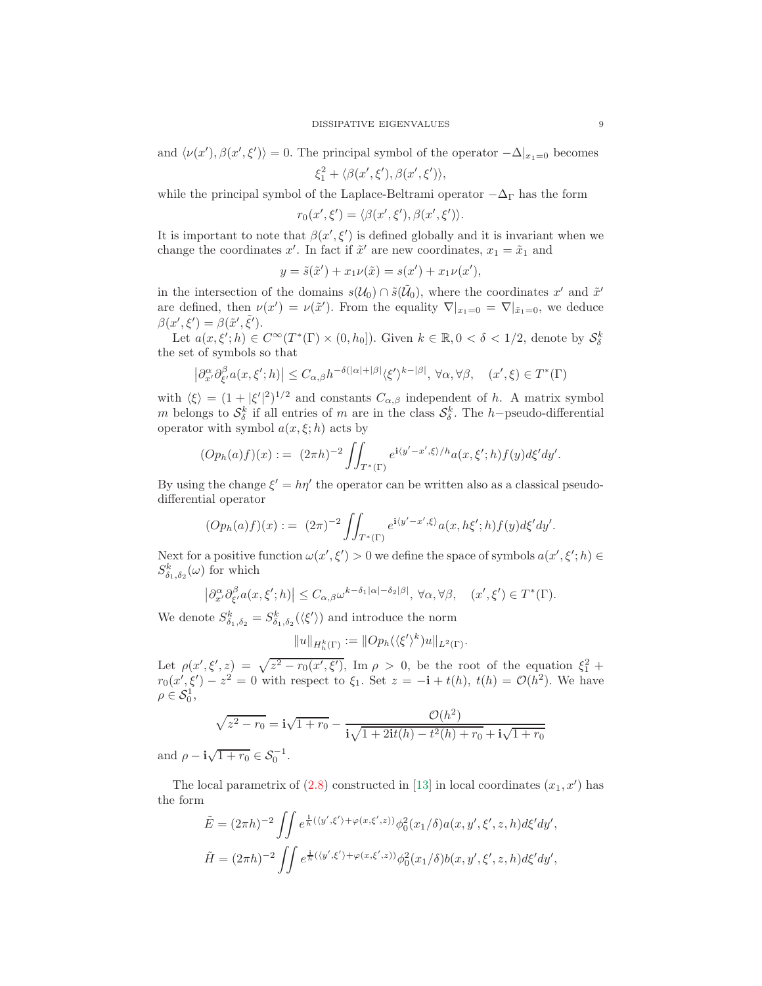and  $\langle \nu(x'), \beta(x', \xi') \rangle = 0$ . The principal symbol of the operator  $-\Delta|_{x_1=0}$  becomes

 $\xi_1^2 + \langle \beta(x',\xi'), \beta(x',\xi') \rangle,$ 

while the principal symbol of the Laplace-Beltrami operator  $-\Delta_{\Gamma}$  has the form

 $r_0(x',\xi')=\langle \beta(x',\xi'),\beta(x',\xi')\rangle.$ 

It is important to note that  $\beta(x', \xi')$  is defined globally and it is invariant when we change the coordinates x'. In fact if  $\tilde{x}'$  are new coordinates,  $x_1 = \tilde{x}_1$  and

$$
y = \tilde{s}(\tilde{x}') + x_1 \nu(\tilde{x}) = s(x') + x_1 \nu(x'),
$$

in the intersection of the domains  $s(\mathcal{U}_0) \cap \tilde{s}(\tilde{\mathcal{U}}_0)$ , where the coordinates x' and  $\tilde{x}'$ are defined, then  $\nu(x') = \nu(\tilde{x}')$ . From the equality  $\nabla |_{x_1=0} = \nabla |_{\tilde{x}_1=0}$ , we deduce  $\beta(x',\xi') = \beta(\tilde{x}',\tilde{\xi}').$ 

Let  $a(x, \xi'; h) \in C^{\infty}(T^*(\Gamma) \times (0, h_0])$ . Given  $k \in \mathbb{R}, 0 < \delta < 1/2$ , denote by  $S_{\delta}^k$ the set of symbols so that

$$
\left|\partial_{x'}^{\alpha}\partial_{\xi'}^{\beta}a(x,\xi';h)\right| \leq C_{\alpha,\beta}h^{-\delta(|\alpha|+|\beta|}\langle\xi'\rangle^{k-|\beta|}, \,\forall \alpha,\forall \beta, \quad (x',\xi) \in T^*(\Gamma)
$$

with  $\langle \xi \rangle = (1 + |\xi'|^2)^{1/2}$  and constants  $C_{\alpha,\beta}$  independent of h. A matrix symbol m belongs to  $\mathcal{S}_{\delta}^k$  if all entries of m are in the class  $\mathcal{S}_{\delta}^k$ . The h-pseudo-differential operator with symbol  $a(x, \xi; h)$  acts by

$$
(Op_h(a)f)(x) := (2\pi h)^{-2} \iint_{T^*(\Gamma)} e^{i\langle y' - x', \xi \rangle/h} a(x, \xi'; h) f(y) d\xi' dy'.
$$

By using the change  $\xi' = h\eta'$  the operator can be written also as a classical pseudodifferential operator

$$
(Op_h(a)f)(x) := (2\pi)^{-2} \iint_{T^*(\Gamma)} e^{i\langle y'-x',\xi\rangle} a(x,h\xi';h) f(y) d\xi' dy'.
$$

Next for a positive function  $\omega(x', \xi') > 0$  we define the space of symbols  $a(x', \xi'; h) \in$  $S^k_{\delta_1,\delta_2}(\omega)$  for which

$$
\left|\partial_{x'}^{\alpha}\partial_{\xi'}^{\beta}a(x,\xi';h)\right|\leq C_{\alpha,\beta}\omega^{k-\delta_{1}|\alpha|-\delta_{2}|\beta|},\,\forall\alpha,\forall\beta,\quad(x',\xi')\in T^{*}(\Gamma).
$$

We denote  $S_{\delta_1,\delta_2}^k = S_{\delta_1,\delta_2}^k(\langle \xi' \rangle)$  and introduce the norm

$$
||u||_{H_h^k(\Gamma)} := ||Op_h(\langle \xi' \rangle^k)u||_{L^2(\Gamma)}.
$$

Let  $\rho(x', \xi', z) = \sqrt{z^2 - r_0(x', \xi')}$ , Im  $\rho > 0$ , be the root of the equation  $\xi_1^2$  +  $r_0(x', \xi') - z^2 = 0$  with respect to  $\xi_1$ . Set  $z = -\mathbf{i} + t(h)$ ,  $t(h) = \mathcal{O}(h^2)$ . We have  $\rho\in\mathcal{S}_0^1,$ 

$$
\sqrt{z^2 - r_0} = \mathbf{i}\sqrt{1 + r_0} - \frac{\mathcal{O}(h^2)}{\mathbf{i}\sqrt{1 + 2\mathbf{i}t(h) - t^2(h) + r_0} + \mathbf{i}\sqrt{1 + r_0}}
$$

and  $\rho - \mathbf{i}\sqrt{1 + r_0} \in \mathcal{S}_0^{-1}$ .

The local parametrix of  $(2.8)$  constructed in [\[13\]](#page-19-9) in local coordinates  $(x_1, x')$  has the form

$$
\tilde{E} = (2\pi h)^{-2} \iint e^{\frac{i}{h}(\langle y',\xi'\rangle + \varphi(x,\xi',z))} \phi_0^2(x_1/\delta) a(x,y',\xi',z,h) d\xi' dy',
$$
  

$$
\tilde{H} = (2\pi h)^{-2} \iint e^{\frac{i}{h}(\langle y',\xi'\rangle + \varphi(x,\xi',z))} \phi_0^2(x_1/\delta) b(x,y',\xi',z,h) d\xi' dy',
$$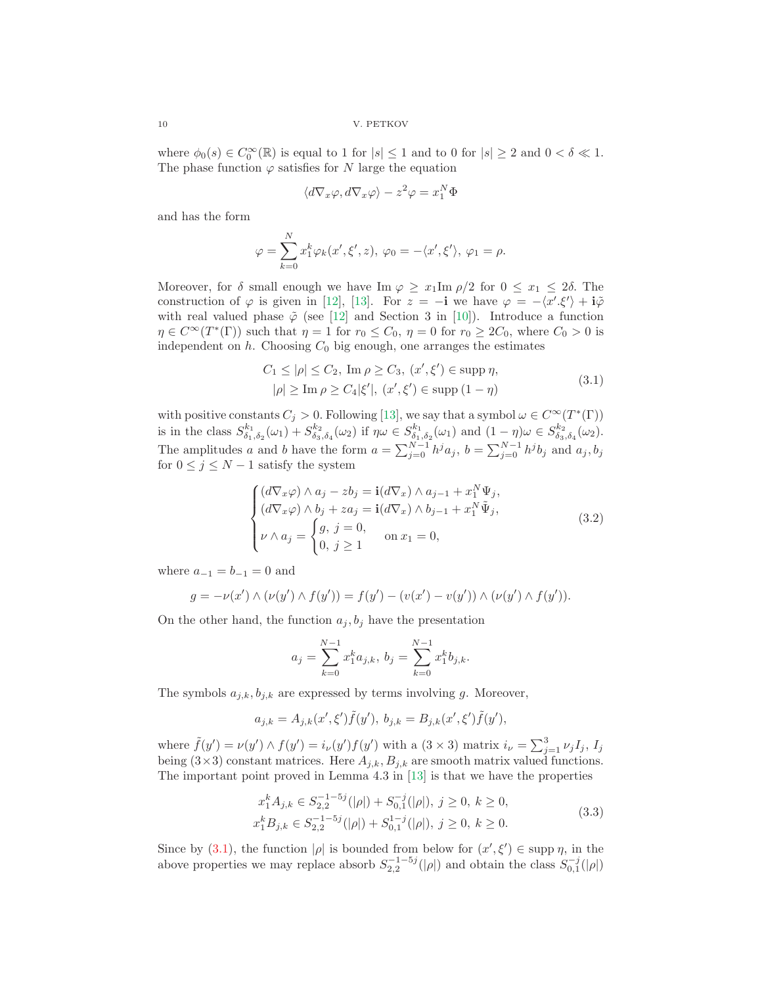where  $\phi_0(s) \in C_0^{\infty}(\mathbb{R})$  is equal to 1 for  $|s| \leq 1$  and to 0 for  $|s| \geq 2$  and  $0 < \delta \ll 1$ . The phase function  $\varphi$  satisfies for N large the equation

$$
\langle d\nabla_x \varphi, d\nabla_x \varphi \rangle - z^2 \varphi = x_1^N \Phi
$$

and has the form

$$
\varphi = \sum_{k=0}^{N} x_1^k \varphi_k(x', \xi', z), \varphi_0 = -\langle x', \xi' \rangle, \varphi_1 = \rho.
$$

Moreover, for  $\delta$  small enough we have Im  $\varphi \geq x_1 \text{Im } \rho/2$  for  $0 \leq x_1 \leq 2\delta$ . The construction of  $\varphi$  is given in [\[12\]](#page-19-12), [\[13\]](#page-19-9). For  $z = -\mathbf{i}$  we have  $\varphi = -\langle x', \xi' \rangle + \mathbf{i}\tilde{\varphi}$ with real valued phase  $\tilde{\varphi}$  (see [\[12\]](#page-19-12) and Section 3 in [\[10\]](#page-19-3)). Introduce a function  $\eta \in C^{\infty}(T^*(\Gamma))$  such that  $\eta = 1$  for  $r_0 \leq C_0$ ,  $\eta = 0$  for  $r_0 \geq 2C_0$ , where  $C_0 > 0$  is independent on  $h$ . Choosing  $C_0$  big enough, one arranges the estimates

<span id="page-9-0"></span>
$$
C_1 \le |\rho| \le C_2, \text{ Im } \rho \ge C_3, (x', \xi') \in \text{supp } \eta,
$$
  
  $|\rho| \ge \text{Im } \rho \ge C_4 |\xi'|, (x', \xi') \in \text{supp } (1 - \eta)$  (3.1)

with positive constants  $C_j > 0$ . Following [\[13\]](#page-19-9), we say that a symbol  $\omega \in C^{\infty}(\mathbb{T}^*(\Gamma))$ is in the class  $S_{\delta_1,\delta_2}^{k_1}(\omega_1) + S_{\delta_3,\delta_4}^{k_2}(\omega_2)$  if  $\eta \omega \in S_{\delta_1,\delta_2}^{k_1}(\omega_1)$  and  $(1 - \eta) \omega \in S_{\delta_3,\delta_4}^{k_2}(\omega_2)$ . The amplitudes a and b have the form  $a = \sum_{j=0}^{N-1} h^j a_j$ ,  $b = \sum_{j=0}^{N-1} h^j b_j$  and  $a_j, b_j$ for  $0 \leq j \leq N-1$  satisfy the system

<span id="page-9-1"></span>
$$
\begin{cases}\n(d\nabla_x \varphi) \wedge a_j - zb_j = \mathbf{i}(d\nabla_x) \wedge a_{j-1} + x_1^N \Psi_j, \n(d\nabla_x \varphi) \wedge b_j + za_j = \mathbf{i}(d\nabla_x) \wedge b_{j-1} + x_1^N \tilde{\Psi}_j, \n\nu \wedge a_j = \begin{cases}\ng, j = 0, & \text{on } x_1 = 0, \\
0, j \ge 1 & \text{on } x_1 = 0,\n\end{cases}
$$
\n(3.2)

where  $a_{-1} = b_{-1} = 0$  and

$$
g = -\nu(x') \wedge (\nu(y') \wedge f(y')) = f(y') - (\nu(x') - \nu(y')) \wedge (\nu(y') \wedge f(y')).
$$

On the other hand, the function  $a_j, b_j$  have the presentation

$$
a_j = \sum_{k=0}^{N-1} x_1^k a_{j,k}, \, b_j = \sum_{k=0}^{N-1} x_1^k b_{j,k}.
$$

The symbols  $a_{j,k}, b_{j,k}$  are expressed by terms involving g. Moreover,

−1−5j

$$
a_{j,k} = A_{j,k}(x',\xi')\tilde{f}(y'), \ b_{j,k} = B_{j,k}(x',\xi')\tilde{f}(y'),
$$

where  $\tilde{f}(y') = \nu(y') \wedge f(y') = i_{\nu}(y') f(y')$  with a  $(3 \times 3)$  matrix  $i_{\nu} = \sum_{j=1}^{3} \nu_j I_j$ ,  $I_j$ being  $(3\times3)$  constant matrices. Here  $A_{i,k}$ ,  $B_{i,k}$  are smooth matrix valued functions. The important point proved in Lemma 4.3 in [\[13\]](#page-19-9) is that we have the properties

<span id="page-9-2"></span>
$$
x_1^k A_{j,k} \in S_{2,2}^{-1-5j}(|\rho|) + S_{0,1}^{-j}(|\rho|), \ j \ge 0, \ k \ge 0,
$$
  
\n
$$
x_1^k B_{j,k} \in S_{2,2}^{-1-5j}(|\rho|) + S_{0,1}^{1-j}(|\rho|), \ j \ge 0, \ k \ge 0.
$$
\n(3.3)

Since by [\(3.1\)](#page-9-0), the function  $|\rho|$  is bounded from below for  $(x', \xi') \in \text{supp } \eta$ , in the above properties we may replace absorb  $S_{2,2}^{-1-5j}(|\rho|)$  and obtain the class  $S_{0,1}^{-j}(|\rho|)$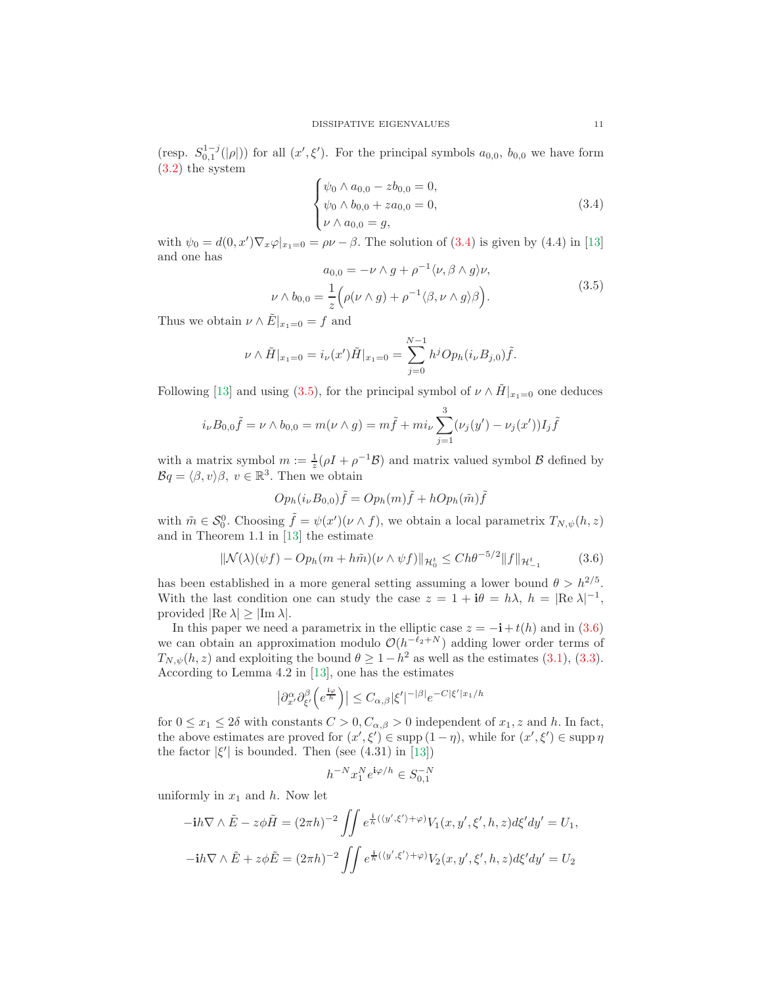(resp.  $S_{0,1}^{1-j}(|\rho|)$ ) for all  $(x', \xi')$ . For the principal symbols  $a_{0,0}$ ,  $b_{0,0}$  we have form [\(3.2\)](#page-9-1) the system

<span id="page-10-0"></span>
$$
\begin{cases}\n\psi_0 \wedge a_{0,0} - zb_{0,0} = 0, \\
\psi_0 \wedge b_{0,0} + za_{0,0} = 0, \\
\nu \wedge a_{0,0} = g,\n\end{cases}
$$
\n(3.4)

with  $\psi_0 = d(0, x') \nabla_x \varphi|_{x_1=0} = \rho \nu - \beta$ . The solution of [\(3.4\)](#page-10-0) is given by (4.4) in [\[13\]](#page-19-9) and one has −1

<span id="page-10-1"></span>
$$
a_{0,0} = -\nu \wedge g + \rho^{-1} \langle \nu, \beta \wedge g \rangle \nu,
$$
  

$$
\nu \wedge b_{0,0} = \frac{1}{z} \Big( \rho(\nu \wedge g) + \rho^{-1} \langle \beta, \nu \wedge g \rangle \beta \Big).
$$
 (3.5)

Thus we obtain  $\nu \wedge \tilde{E}|_{x_1=0} = f$  and

$$
\nu \wedge \tilde{H}|_{x_1=0} = i_{\nu}(x')\tilde{H}|_{x_1=0} = \sum_{j=0}^{N-1} h^j Op_h(i_{\nu}B_{j,0})\tilde{f}.
$$

Following [\[13\]](#page-19-9) and using [\(3.5\)](#page-10-1), for the principal symbol of  $\nu \wedge \tilde{H}|_{x_1=0}$  one deduces

$$
i_{\nu}B_{0,0}\tilde{f} = \nu \wedge b_{0,0} = m(\nu \wedge g) = m\tilde{f} + mi_{\nu} \sum_{j=1}^{3} (\nu_j(y') - \nu_j(x'))I_j\tilde{f}
$$

with a matrix symbol  $m := \frac{1}{z}(\rho I + \rho^{-1} \mathcal{B})$  and matrix valued symbol  $\mathcal{B}$  defined by  $Bq = \langle \beta, v \rangle \beta, v \in \mathbb{R}^3$ . Then we obtain

$$
Op_h(i_{\nu}B_{0,0})\tilde{f} = Op_h(m)\tilde{f} + hOp_h(\tilde{m})\tilde{f}
$$

with  $\tilde{m} \in \mathcal{S}_0^0$ . Choosing  $\tilde{f} = \psi(x')(\nu \wedge f)$ , we obtain a local parametrix  $T_{N,\psi}(h, z)$ and in Theorem 1.1 in [\[13\]](#page-19-9) the estimate

<span id="page-10-2"></span>
$$
\|\mathcal{N}(\lambda)(\psi f) - Op_h(m + h\tilde{m})(\nu \wedge \psi f)\|_{\mathcal{H}_0^t} \le Ch\theta^{-5/2} \|f\|_{\mathcal{H}_{-1}^t}
$$
 (3.6)

has been established in a more general setting assuming a lower bound  $\theta > h^{2/5}$ . With the last condition one can study the case  $z = 1 + i\theta = h\lambda$ ,  $h = |\text{Re }\lambda|^{-1}$ , provided  $|\text{Re }\lambda| \geq |\text{Im }\lambda|$ .

In this paper we need a parametrix in the elliptic case  $z = -\mathbf{i} + t(h)$  and in [\(3.6\)](#page-10-2) we can obtain an approximation modulo  $\mathcal{O}(h^{-\ell_2+N})$  adding lower order terms of  $T_{N,\psi}(h, z)$  and exploiting the bound  $\theta \ge 1 - h^2$  as well as the estimates [\(3.1\)](#page-9-0), [\(3.3\)](#page-9-2). According to Lemma 4.2 in [\[13\]](#page-19-9), one has the estimates

$$
\left|\partial_{x'}^{\alpha}\partial_{\xi'}^{\beta}\left(e^{\frac{i\varphi}{h}}\right)\right| \leq C_{\alpha,\beta}|\xi'|^{-|\beta|}e^{-C|\xi'|x_1/h}
$$

for  $0 \le x_1 \le 2\delta$  with constants  $C > 0$ ,  $C_{\alpha,\beta} > 0$  independent of  $x_1, z$  and h. In fact, the above estimates are proved for  $(x', \xi') \in \text{supp}(1-\eta)$ , while for  $(x', \xi') \in \text{supp}\eta$ the factor  $|\xi'|$  is bounded. Then (see (4.31) in [\[13\]](#page-19-9))

$$
h^{-N}x_1^Ne^{\mathbf{i}\varphi/h}\in S^{-N}_{0,1}
$$

uniformly in  $x_1$  and h. Now let

$$
-ih\nabla \wedge \tilde{E} - z\phi \tilde{H} = (2\pi h)^{-2} \iint e^{\frac{i}{h}(\langle y', \xi' \rangle + \varphi)} V_1(x, y', \xi', h, z) d\xi' dy' = U_1,
$$
  

$$
-ih\nabla \wedge \tilde{E} + z\phi \tilde{E} = (2\pi h)^{-2} \iint e^{\frac{i}{h}(\langle y', \xi' \rangle + \varphi)} V_2(x, y', \xi', h, z) d\xi' dy' = U_2
$$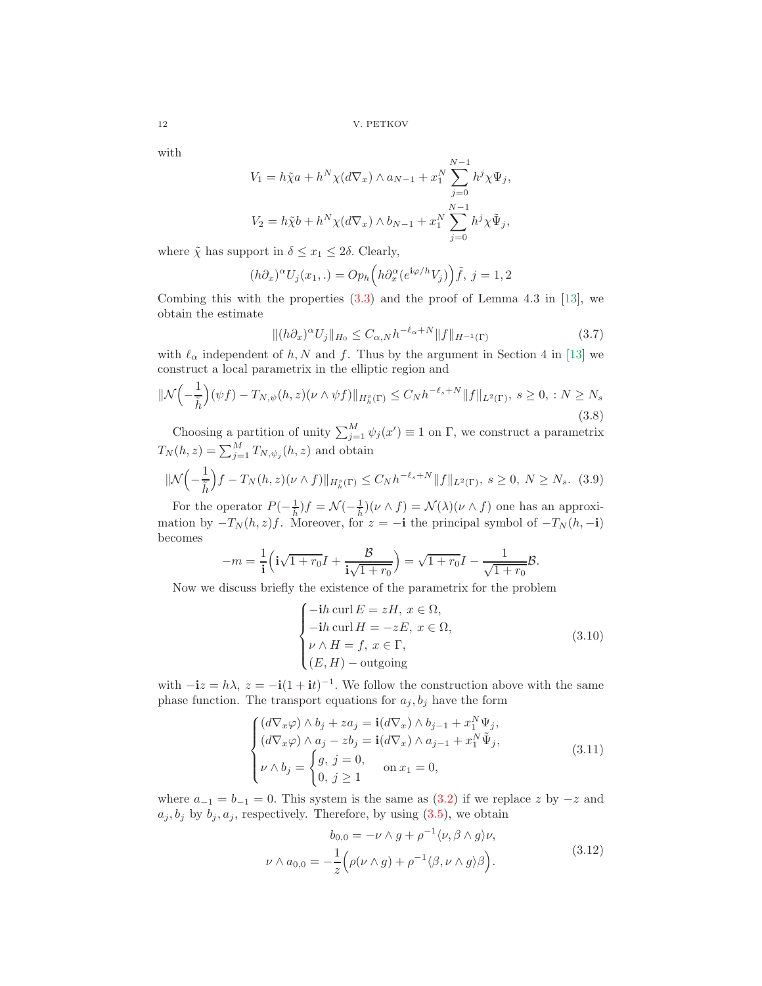with

$$
V_1 = h\tilde{\chi}a + h^N \chi(d\nabla_x) \wedge a_{N-1} + x_1^N \sum_{j=0}^{N-1} h^j \chi \Psi_j,
$$
  

$$
V_2 = h\tilde{\chi}b + h^N \chi(d\nabla_x) \wedge b_{N-1} + x_1^N \sum_{j=0}^{N-1} h^j \chi \tilde{\Psi}_j,
$$

where  $\tilde{\chi}$  has support in  $\delta \leq x_1 \leq 2\delta$ . Clearly,

$$
(h\partial_x)^{\alpha}U_j(x_1,.)=Op_h\left(h\partial_x^{\alpha}(e^{\mathbf{i}\varphi/h}V_j)\right)\tilde{f},\ j=1,2
$$

Combing this with the properties  $(3.3)$  and the proof of Lemma 4.3 in [\[13\]](#page-19-9), we obtain the estimate

$$
\|(h\partial_x)^\alpha U_j\|_{H_0} \le C_{\alpha,N} h^{-\ell_\alpha+N} \|f\|_{H^{-1}(\Gamma)}\tag{3.7}
$$

with  $\ell_{\alpha}$  independent of h, N and f. Thus by the argument in Section 4 in [\[13\]](#page-19-9) we construct a local parametrix in the elliptic region and

$$
\|\mathcal{N}\left(-\frac{1}{\tilde{h}}\right)(\psi f) - T_{N,\psi}(h,z)(\nu \wedge \psi f)\|_{H_h^s(\Gamma)} \le C_N h^{-\ell_s + N} \|f\|_{L^2(\Gamma)}, \ s \ge 0, \ : N \ge N_s
$$
\n(3.8)

Choosing a partition of unity  $\sum_{j=1}^{M} \psi_j(x') \equiv 1$  on  $\Gamma$ , we construct a parametrix  $T_N(h, z) = \sum_{j=1}^M T_{N, \psi_j}(h, z)$  and obtain

<span id="page-11-1"></span>
$$
\|\mathcal{N}\left(-\frac{1}{\tilde{h}}\right)f - T_N(h, z)(\nu \wedge f)\|_{H_h^s(\Gamma)} \le C_N h^{-\ell_s + N} \|f\|_{L^2(\Gamma)}, \ s \ge 0, \ N \ge N_s. \tag{3.9}
$$

For the operator  $P(-\frac{1}{h})f = \mathcal{N}(-\frac{1}{h})(\nu \wedge f) = \mathcal{N}(\lambda)(\nu \wedge f)$  one has an approximation by  $-T_N(h, z)f$ . Moreover, for  $z = -\mathbf{i}$  the principal symbol of  $-T_N(h, -\mathbf{i})$ becomes

$$
-m = \frac{1}{\mathbf{i}} \left( \mathbf{i}\sqrt{1+r_0}I + \frac{B}{\mathbf{i}\sqrt{1+r_0}} \right) = \sqrt{1+r_0}I - \frac{1}{\sqrt{1+r_0}}B.
$$

Now we discuss briefly the existence of the parametrix for the problem

<span id="page-11-0"></span>
$$
\begin{cases}\n-ih \operatorname{curl} E = zH, \ x \in \Omega, \\
-ih \operatorname{curl} H = -zE, \ x \in \Omega, \\
\nu \wedge H = f, \ x \in \Gamma, \\
(E, H) - \operatorname{outgoing}\n\end{cases} \tag{3.10}
$$

with  $-i z = h \lambda$ ,  $z = -i(1 + it)^{-1}$ . We follow the construction above with the same phase function. The transport equations for  $a_j, b_j$  have the form

$$
\begin{cases}\n(d\nabla_x \varphi) \wedge b_j + za_j = \mathbf{i}(d\nabla_x) \wedge b_{j-1} + x_1^N \Psi_j, \n(d\nabla_x \varphi) \wedge a_j - zb_j = \mathbf{i}(d\nabla_x) \wedge a_{j-1} + x_1^N \tilde{\Psi}_j, \n\nu \wedge b_j = \begin{cases}\ng, j = 0, & \text{on } x_1 = 0, \\
0, j \ge 1\n\end{cases}
$$
\n(3.11)

where  $a_{-1} = b_{-1} = 0$ . This system is the same as  $(3.2)$  if we replace z by  $-z$  and  $a_j, b_j$  by  $b_j, a_j$ , respectively. Therefore, by using  $(3.5)$ , we obtain

<span id="page-11-2"></span>
$$
b_{0,0} = -\nu \wedge g + \rho^{-1} \langle \nu, \beta \wedge g \rangle \nu,
$$
  

$$
\nu \wedge a_{0,0} = -\frac{1}{z} \Big( \rho(\nu \wedge g) + \rho^{-1} \langle \beta, \nu \wedge g \rangle \beta \Big).
$$
 (3.12)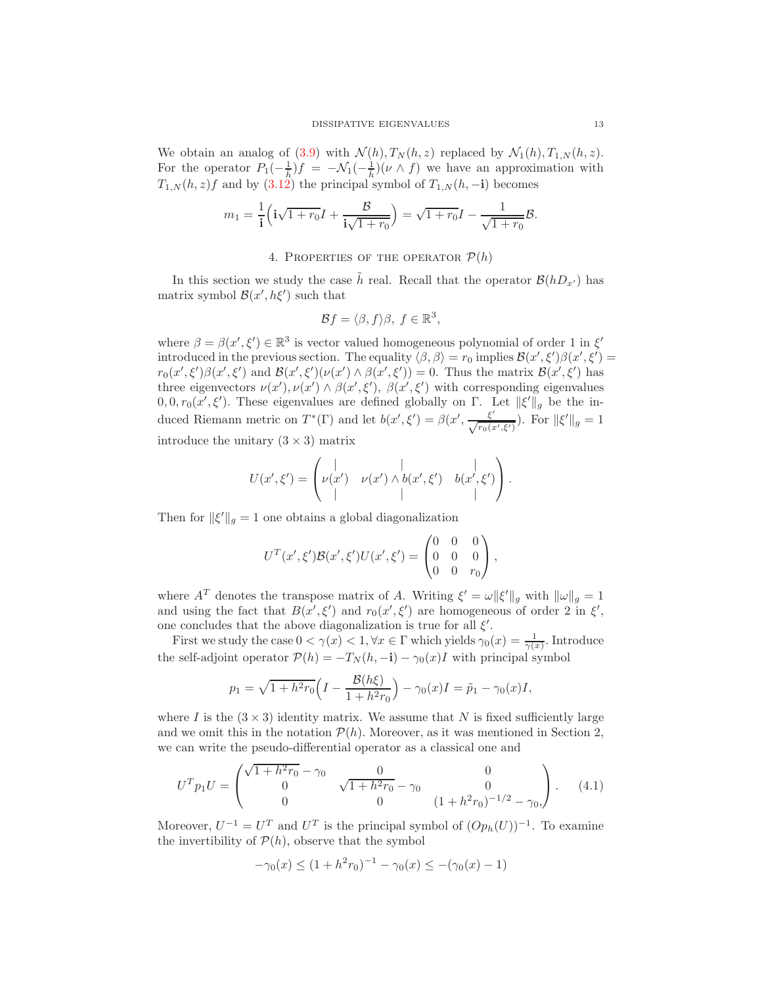We obtain an analog of [\(3.9\)](#page-11-1) with  $\mathcal{N}(h)$ ,  $T_N(h, z)$  replaced by  $\mathcal{N}_1(h)$ ,  $T_{1,N}(h, z)$ . For the operator  $P_1(-\frac{1}{\hbar})f = -\mathcal{N}_1(-\frac{1}{\hbar})(\nu \wedge f)$  we have an approximation with  $T_{1,N}(h, z)f$  and by  $(3.12)$  the principal symbol of  $T_{1,N}(h, -{\bf i})$  becomes

$$
m_1 = \frac{1}{\mathbf{i}} \Big( \mathbf{i}\sqrt{1 + r_0} I + \frac{B}{\mathbf{i}\sqrt{1 + r_0}} \Big) = \sqrt{1 + r_0} I - \frac{1}{\sqrt{1 + r_0}} B.
$$

# 4. PROPERTIES OF THE OPERATOR  $P(h)$

In this section we study the case  $\tilde{h}$  real. Recall that the operator  $\mathcal{B}(hD_{x'})$  has matrix symbol  $\mathcal{B}(x',h\xi')$  such that

$$
\mathcal{B}f = \langle \beta, f \rangle \beta, \ f \in \mathbb{R}^3,
$$

where  $\beta = \beta(x', \xi') \in \mathbb{R}^3$  is vector valued homogeneous polynomial of order 1 in  $\xi'$ introduced in the previous section. The equality  $\langle \beta, \beta \rangle = r_0$  implies  $\mathcal{B}(x', \xi') \beta(x', \xi') =$  $r_0(x',\xi')\beta(x',\xi')$  and  $\mathcal{B}(x',\xi')(\nu(x')\wedge\beta(x',\xi'))=0$ . Thus the matrix  $\mathcal{B}(x',\xi')$  has three eigenvectors  $\nu(x'), \nu(x') \wedge \beta(x', \xi'), \beta(x', \xi')$  with corresponding eigenvalues  $(0,0,r_0(x',\xi')$ . These eigenvalues are defined globally on  $\Gamma$ . Let  $\|\xi'\|_g$  be the induced Riemann metric on  $T^*(\Gamma)$  and let  $b(x', \xi') = \beta(x', \frac{\xi'}{\sqrt{r_0(x', \xi')}})$ . For  $\|\xi'\|_g = 1$ introduce the unitary  $(3 \times 3)$  matrix

$$
U(x',\xi') = \begin{pmatrix} | & | & | \\ \nu(x') & \nu(x') \wedge b(x',\xi') & b(x',\xi') \\ | & | & | \end{pmatrix}.
$$

Then for  $\|\xi'\|_g = 1$  one obtains a global diagonalization

$$
U^{T}(x',\xi')\mathcal{B}(x',\xi')U(x',\xi') = \begin{pmatrix} 0 & 0 & 0 \\ 0 & 0 & 0 \\ 0 & 0 & r_{0} \end{pmatrix},
$$

where  $A^T$  denotes the transpose matrix of A. Writing  $\xi' = \omega ||\xi'||_g$  with  $||\omega||_g = 1$ and using the fact that  $B(x', \xi')$  and  $r_0(x', \xi')$  are homogeneous of order 2 in  $\xi'$ , one concludes that the above diagonalization is true for all  $\xi'$ .

First we study the case  $0 < \gamma(x) < 1, \forall x \in \Gamma$  which yields  $\gamma_0(x) = \frac{1}{\gamma(x)}$ . Introduce the self-adjoint operator  $\mathcal{P}(h) = -T_N(h, -\mathbf{i}) - \gamma_0(x)I$  with principal symbol

$$
p_1 = \sqrt{1 + h^2 r_0} \Big( I - \frac{\mathcal{B}(h\xi)}{1 + h^2 r_0} \Big) - \gamma_0(x)I = \tilde{p}_1 - \gamma_0(x)I,
$$

where I is the  $(3 \times 3)$  identity matrix. We assume that N is fixed sufficiently large and we omit this in the notation  $\mathcal{P}(h)$ . Moreover, as it was mentioned in Section 2, we can write the pseudo-differential operator as a classical one and

<span id="page-12-0"></span>
$$
U^T p_1 U = \begin{pmatrix} \sqrt{1 + h^2 r_0} - \gamma_0 & 0 & 0\\ 0 & \sqrt{1 + h^2 r_0} - \gamma_0 & 0\\ 0 & 0 & (1 + h^2 r_0)^{-1/2} - \gamma_0, \end{pmatrix}.
$$
 (4.1)

Moreover,  $U^{-1} = U^T$  and  $U^T$  is the principal symbol of  $(Op_h(U))^{-1}$ . To examine the invertibility of  $P(h)$ , observe that the symbol

$$
-\gamma_0(x) \le (1 + h^2 r_0)^{-1} - \gamma_0(x) \le -(\gamma_0(x) - 1)
$$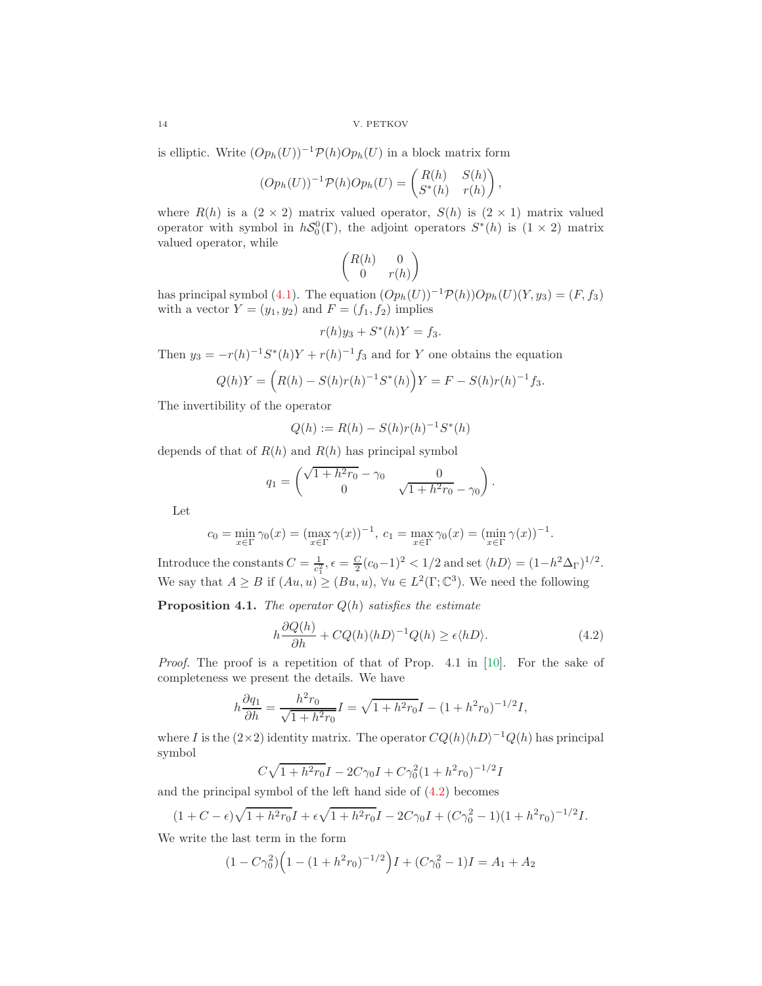14 V. PETKOV

is elliptic. Write  $(Op_h(U))^{-1}P(h)Op_h(U)$  in a block matrix form

$$
(Op_h(U))^{-1} \mathcal{P}(h) Op_h(U) = \begin{pmatrix} R(h) & S(h) \\ S^*(h) & r(h) \end{pmatrix},
$$

where  $R(h)$  is a  $(2 \times 2)$  matrix valued operator,  $S(h)$  is  $(2 \times 1)$  matrix valued operator with symbol in  $hS_0^0(\Gamma)$ , the adjoint operators  $S^*(h)$  is  $(1 \times 2)$  matrix valued operator, while

$$
\begin{pmatrix} R(h) & 0 \\ 0 & r(h) \end{pmatrix}
$$

has principal symbol [\(4.1\)](#page-12-0). The equation  $(Op_h(U))^{-1}P(h)Op_h(U)(Y, y_3) = (F, f_3)$ with a vector  $Y = (y_1, y_2)$  and  $F = (f_1, f_2)$  implies

$$
r(h)y_3 + S^*(h)Y = f_3.
$$

Then  $y_3 = -r(h)^{-1}S^*(h)Y + r(h)^{-1}f_3$  and for Y one obtains the equation

$$
Q(h)Y = (R(h) - S(h)r(h)^{-1}S^*(h))Y = F - S(h)r(h)^{-1}f_3.
$$

The invertibility of the operator

$$
Q(h) := R(h) - S(h)r(h)^{-1}S^*(h)
$$

depends of that of  $R(h)$  and  $R(h)$  has principal symbol

$$
q_1 = \begin{pmatrix} \sqrt{1 + h^2 r_0} - \gamma_0 & 0 \\ 0 & \sqrt{1 + h^2 r_0} - \gamma_0 \end{pmatrix}.
$$

Let

$$
c_0 = \min_{x \in \Gamma} \gamma_0(x) = (\max_{x \in \Gamma} \gamma(x))^{-1}, \ c_1 = \max_{x \in \Gamma} \gamma_0(x) = (\min_{x \in \Gamma} \gamma(x))^{-1}.
$$

Introduce the constants  $C = \frac{1}{c_1^2}$ ,  $\epsilon = \frac{C}{2}(c_0 - 1)^2 < 1/2$  and set  $\langle hD \rangle = (1 - h^2 \Delta_{\Gamma})^{1/2}$ . We say that  $A \geq B$  if  $(Au, u) \geq (Bu, u)$ ,  $\forall u \in L^2(\Gamma; \mathbb{C}^3)$ . We need the following

**Proposition 4.1.** The operator  $Q(h)$  satisfies the estimate

<span id="page-13-0"></span>
$$
h\frac{\partial Q(h)}{\partial h} + CQ(h)\langle hD\rangle^{-1}Q(h) \ge \epsilon \langle hD\rangle.
$$
 (4.2)

Proof. The proof is a repetition of that of Prop. 4.1 in [\[10\]](#page-19-3). For the sake of completeness we present the details. We have

$$
h\frac{\partial q_1}{\partial h} = \frac{h^2 r_0}{\sqrt{1 + h^2 r_0}} I = \sqrt{1 + h^2 r_0} I - (1 + h^2 r_0)^{-1/2} I,
$$

where I is the  $(2\times2)$  identity matrix. The operator  $CQ(h)\langle hD\rangle^{-1}Q(h)$  has principal symbol

$$
C\sqrt{1 + h^2r_0}I - 2C\gamma_0I + C\gamma_0^2(1 + h^2r_0)^{-1/2}I
$$

and the principal symbol of the left hand side of [\(4.2\)](#page-13-0) becomes

$$
(1 + C - \epsilon)\sqrt{1 + h^2 r_0}I + \epsilon\sqrt{1 + h^2 r_0}I - 2C\gamma_0 I + (C\gamma_0^2 - 1)(1 + h^2 r_0)^{-1/2}I.
$$

We write the last term in the form

$$
(1 - C\gamma_0^2) \left(1 - (1 + h^2 r_0)^{-1/2}\right)I + (C\gamma_0^2 - 1)I = A_1 + A_2
$$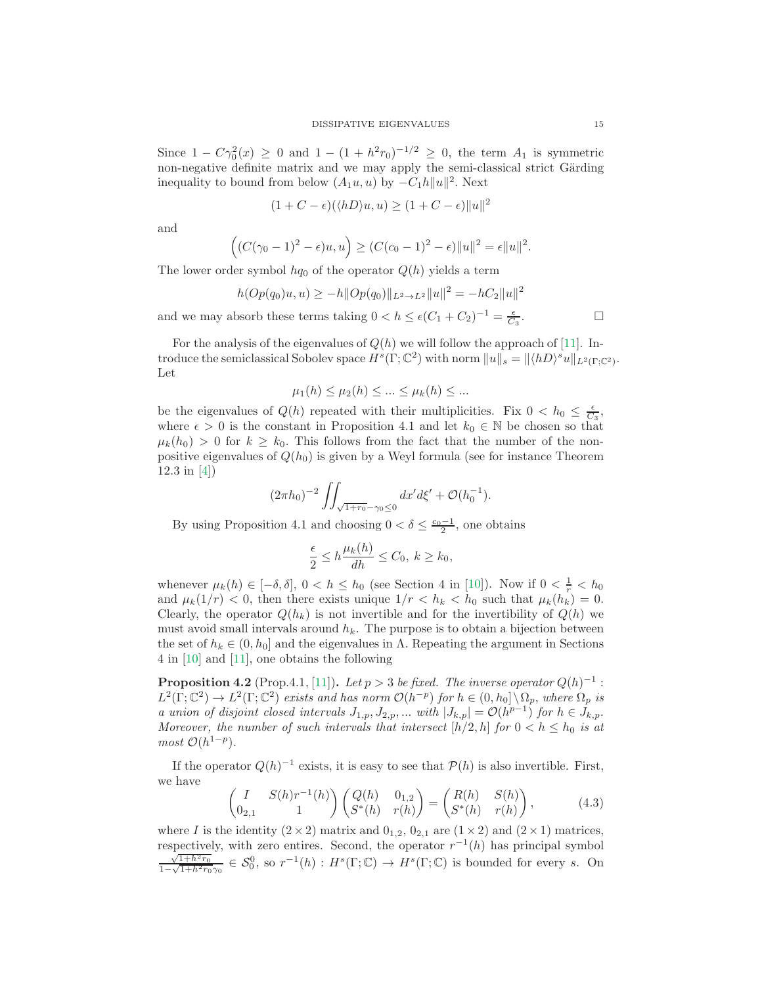Since  $1 - C\gamma_0^2(x) \ge 0$  and  $1 - (1 + h^2 r_0)^{-1/2} \ge 0$ , the term  $A_1$  is symmetric non-negative definite matrix and we may apply the semi-classical strict Gärding inequality to bound from below  $(A_1u, u)$  by  $-C_1h||u||^2$ . Next

$$
(1 + C - \epsilon)(\langle hD \rangle u, u) \ge (1 + C - \epsilon) ||u||^2
$$

and

$$
((C(\gamma_0 - 1)^2 - \epsilon)u, u) \ge (C(c_0 - 1)^2 - \epsilon) ||u||^2 = \epsilon ||u||^2.
$$

The lower order symbol  $hq_0$  of the operator  $Q(h)$  yields a term

$$
h(Op(q_0)u, u) \ge -h||Op(q_0)||_{L^2 \to L^2}||u||^2 = -hC_2||u||^2
$$
  
osorb these terms taking  $0 < h \le \epsilon(C_1 + C_2)^{-1} = \frac{\epsilon}{C_2}$ .

and we may absorb these terms taking  $0 < h \leq \epsilon (C_1 + C_2)^{-1} = \frac{\epsilon}{C_3}$ 

For the analysis of the eigenvalues of  $Q(h)$  we will follow the approach of [\[11\]](#page-19-8). Introduce the semiclassical Sobolev space  $H^s(\Gamma; \mathbb{C}^2)$  with norm  $||u||_s = ||\langle hD \rangle^s u||_{L^2(\Gamma; \mathbb{C}^2)}$ . Let

$$
\mu_1(h) \le \mu_2(h) \le \dots \le \mu_k(h) \le \dots
$$

be the eigenvalues of  $Q(h)$  repeated with their multiplicities. Fix  $0 < h_0 \leq \frac{\epsilon}{C_3}$ , where  $\epsilon > 0$  is the constant in Proposition 4.1 and let  $k_0 \in \mathbb{N}$  be chosen so that  $\mu_k(h_0) > 0$  for  $k \geq k_0$ . This follows from the fact that the number of the nonpositive eigenvalues of  $Q(h_0)$  is given by a Weyl formula (see for instance Theorem 12.3 in [\[4\]](#page-19-10))

$$
(2\pi h_0)^{-2} \iint_{\sqrt{1+r_0}-\gamma_0\leq 0} dx'd\xi' + \mathcal{O}(h_0^{-1}).
$$

By using Proposition 4.1 and choosing  $0 < \delta \leq \frac{c_0 - 1}{2}$ , one obtains

$$
\frac{\epsilon}{2} \le h \frac{\mu_k(h)}{dh} \le C_0, \ k \ge k_0,
$$

whenever  $\mu_k(h) \in [-\delta, \delta], 0 < h \leq h_0$  (see Section 4 in [\[10\]](#page-19-3)). Now if  $0 < \frac{1}{r} < h_0$ and  $\mu_k(1/r) < 0$ , then there exists unique  $1/r < h_k < h_0$  such that  $\mu_k(h_k) = 0$ . Clearly, the operator  $Q(h_k)$  is not invertible and for the invertibility of  $Q(h)$  we must avoid small intervals around  $h_k$ . The purpose is to obtain a bijection between the set of  $h_k \in (0, h_0]$  and the eigenvalues in  $\Lambda$ . Repeating the argument in Sections 4 in [\[10\]](#page-19-3) and [\[11\]](#page-19-8), one obtains the following

**Proposition 4.2** (Prop.4.1, [\[11\]](#page-19-8)). Let  $p > 3$  be fixed. The inverse operator  $Q(h)^{-1}$ :  $L^2(\Gamma; \mathbb{C}^2) \to L^2(\Gamma; \mathbb{C}^2)$  exists and has norm  $\mathcal{O}(h^{-p})$  for  $h \in (0, h_0] \setminus \Omega_p$ , where  $\Omega_p$  is a union of disjoint closed intervals  $J_{1,p}, J_{2,p}, ...$  with  $|J_{k,p}| = \mathcal{O}(h^{p-1})$  for  $h \in J_{k,p}$ . Moreover, the number of such intervals that intersect  $[h/2, h]$  for  $0 < h \le h_0$  is at  $most \mathcal{O}(h^{1-p}).$ 

If the operator  $Q(h)^{-1}$  exists, it is easy to see that  $P(h)$  is also invertible. First, we have

<span id="page-14-0"></span>
$$
\begin{pmatrix} I & S(h)r^{-1}(h) \\ 0_{2,1} & 1 \end{pmatrix} \begin{pmatrix} Q(h) & 0_{1,2} \\ S^*(h) & r(h) \end{pmatrix} = \begin{pmatrix} R(h) & S(h) \\ S^*(h) & r(h) \end{pmatrix},
$$
(4.3)

where I is the identity  $(2 \times 2)$  matrix and  $0_{1,2}$ ,  $0_{2,1}$  are  $(1 \times 2)$  and  $(2 \times 1)$  matrices, respectively, with zero entires. Second, the operator  $r^{-1}(h)$  has principal symbol  $\sqrt{1+h^2r_0}$  $\frac{\sqrt{1+h^2r_0}}{1-\sqrt{1+h^2r_0}\gamma_0} \in \mathcal{S}_0^0$ , so  $r^{-1}(h): H^s(\Gamma;\mathbb{C}) \to H^s(\Gamma;\mathbb{C})$  is bounded for every s. On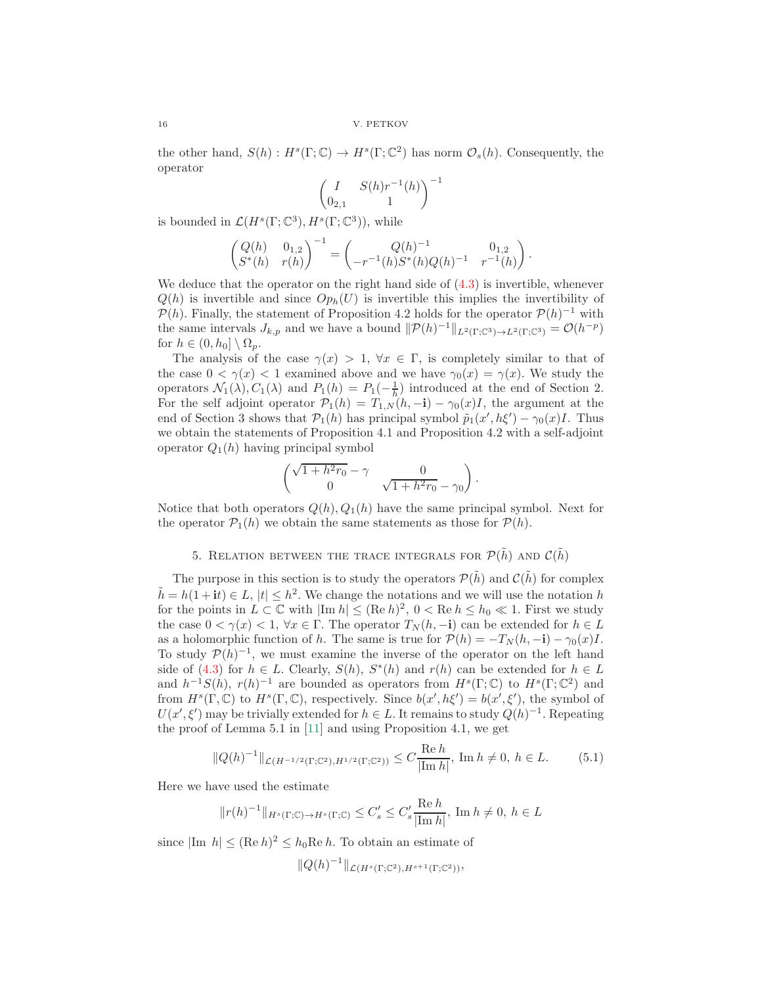the other hand,  $S(h) : H^s(\Gamma; \mathbb{C}) \to H^s(\Gamma; \mathbb{C}^2)$  has norm  $\mathcal{O}_s(h)$ . Consequently, the operator

$$
\begin{pmatrix} I & S(h)r^{-1}(h) \\ 0_{2,1} & 1 \end{pmatrix}^{-1}
$$

is bounded in  $\mathcal{L}(H^s(\Gamma;\mathbb{C}^3), H^s(\Gamma;\mathbb{C}^3)),$  while

$$
\begin{pmatrix} Q(h) & 0_{1,2} \ S^*(h) & r(h) \end{pmatrix}^{-1} = \begin{pmatrix} Q(h)^{-1} & 0_{1,2} \ -r^{-1}(h)S^*(h)Q(h)^{-1} & r^{-1}(h) \end{pmatrix}.
$$

We deduce that the operator on the right hand side of  $(4.3)$  is invertible, whenever  $Q(h)$  is invertible and since  $Op_h(U)$  is invertible this implies the invertibility of  $\mathcal{P}(h)$ . Finally, the statement of Proposition 4.2 holds for the operator  $\mathcal{P}(h)^{-1}$  with the same intervals  $J_{k,p}$  and we have a bound  $||\mathcal{P}(h)^{-1}||_{L^2(\Gamma;\mathbb{C}^3)\to L^2(\Gamma;\mathbb{C}^3)} = \mathcal{O}(h^{-p})$ for  $h \in (0, h_0] \setminus \Omega_p$ .

The analysis of the case  $\gamma(x) > 1$ ,  $\forall x \in \Gamma$ , is completely similar to that of the case  $0 < \gamma(x) < 1$  examined above and we have  $\gamma_0(x) = \gamma(x)$ . We study the operators  $\mathcal{N}_1(\lambda)$ ,  $C_1(\lambda)$  and  $P_1(h) = P_1(-\frac{1}{h})$  introduced at the end of Section 2. For the self adjoint operator  $\mathcal{P}_1(h) = T_{1,N}(h, -\mathbf{i}) - \gamma_0(x)I$ , the argument at the end of Section 3 shows that  $P_1(h)$  has principal symbol  $\tilde{p}_1(x', h\xi') - \gamma_0(x)I$ . Thus we obtain the statements of Proposition 4.1 and Proposition 4.2 with a self-adjoint operator  $Q_1(h)$  having principal symbol

$$
\begin{pmatrix}\n\sqrt{1+h^2r_0}-\gamma & 0\\
0 & \sqrt{1+h^2r_0}-\gamma_0\n\end{pmatrix}.
$$

Notice that both operators  $Q(h), Q_1(h)$  have the same principal symbol. Next for the operator  $\mathcal{P}_1(h)$  we obtain the same statements as those for  $\mathcal{P}(h)$ .

# 5. RELATION BETWEEN THE TRACE INTEGRALS FOR  $\mathcal{P}(\tilde{h})$  and  $\mathcal{C}(\tilde{h})$

The purpose in this section is to study the operators  $\mathcal{P}(\tilde{h})$  and  $\mathcal{C}(\tilde{h})$  for complex  $\tilde{h} = h(1 + it) \in L$ ,  $|t| \leq h^2$ . We change the notations and we will use the notation h for the points in  $L \subset \mathbb{C}$  with  $|\text{Im } h| \leq (\text{Re } h)^2$ ,  $0 < \text{Re } h \leq h_0 \ll 1$ . First we study the case  $0 < \gamma(x) < 1$ ,  $\forall x \in \Gamma$ . The operator  $T_N(h, -i)$  can be extended for  $h \in L$ as a holomorphic function of h. The same is true for  $\mathcal{P}(h) = -T_N (h, -\mathbf{i}) - \gamma_0(x)I$ . To study  $\mathcal{P}(h)^{-1}$ , we must examine the inverse of the operator on the left hand side of  $(4.3)$  for  $h \in L$ . Clearly,  $S(h)$ ,  $S^*(h)$  and  $r(h)$  can be extended for  $h \in L$ and  $h^{-1}S(h)$ ,  $r(h)^{-1}$  are bounded as operators from  $H^s(\Gamma;\mathbb{C})$  to  $H^s(\Gamma;\mathbb{C}^2)$  and from  $H^s(\Gamma, \mathbb{C})$  to  $H^s(\Gamma, \mathbb{C})$ , respectively. Since  $b(x', h\xi') = b(x', \xi')$ , the symbol of  $U(x', \xi')$  may be trivially extended for  $h \in L$ . It remains to study  $Q(h)^{-1}$ . Repeating the proof of Lemma 5.1 in [\[11\]](#page-19-8) and using Proposition 4.1, we get

<span id="page-15-0"></span>
$$
||Q(h)^{-1}||_{\mathcal{L}(H^{-1/2}(\Gamma;\mathbb{C}^2),H^{1/2}(\Gamma;\mathbb{C}^2))} \le C \frac{\text{Re } h}{|\text{Im } h|}, \text{ Im } h \ne 0, h \in L. \tag{5.1}
$$

Here we have used the estimate

$$
||r(h)^{-1}||_{H^s(\Gamma; \mathbb{C}) \to H^s(\Gamma; \mathbb{C})} \leq C_s' \leq C_s' \frac{\text{Re } h}{|\text{Im } h|}, \text{Im } h \neq 0, h \in L
$$

since  $|\text{Im } h| \leq (\text{Re } h)^2 \leq h_0 \text{Re } h$ . To obtain an estimate of

$$
||Q(h)^{-1}||_{\mathcal{L}(H^s(\Gamma;\mathbb{C}^2),H^{s+1}(\Gamma;\mathbb{C}^2))},
$$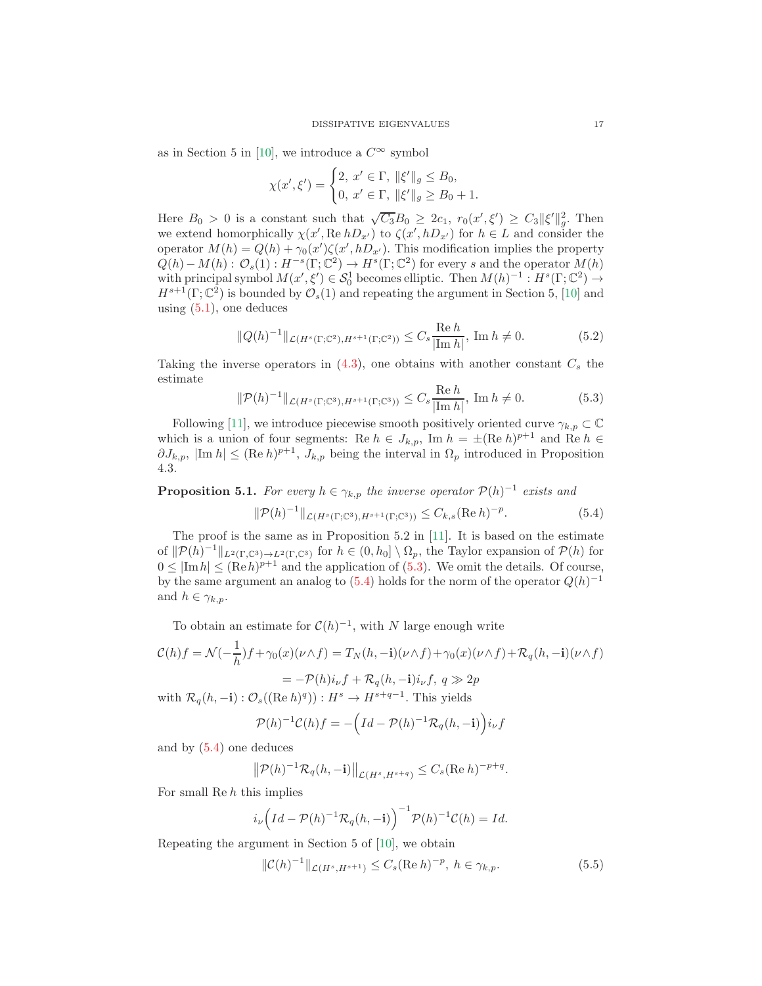as in Section 5 in [\[10\]](#page-19-3), we introduce a  $C^{\infty}$  symbol

$$
\chi(x',\xi') = \begin{cases} 2, \ x' \in \Gamma, \ \|\xi'\|_g \le B_0, \\ 0, \ x' \in \Gamma, \ \|\xi'\|_g \ge B_0 + 1. \end{cases}
$$

Here  $B_0 > 0$  is a constant such that  $\sqrt{C_3}B_0 \geq 2c_1$ ,  $r_0(x', \xi') \geq C_3||\xi'||_g^2$ . Then we extend homorphically  $\chi(x', \text{Re } hD_{x'})$  to  $\zeta(x', hD_{x'})$  for  $h \in L$  and consider the operator  $M(h) = Q(h) + \gamma_0(x')\zeta(x', hD_{x'})$ . This modification implies the property  $Q(h) - M(h)$ :  $\mathcal{O}_s(1)$ :  $H^{-s}(\Gamma; \mathbb{C}^2) \to H^s(\Gamma; \mathbb{C}^2)$  for every s and the operator  $M(h)$ with principal symbol  $M(x', \xi') \in \mathcal{S}_0^1$  becomes elliptic. Then  $M(h)^{-1}: H^s(\Gamma; \mathbb{C}^2) \to$  $H^{s+1}(\Gamma; \mathbb{C}^2)$  is bounded by  $\mathcal{O}_s(1)$  and repeating the argument in Section 5, [\[10\]](#page-19-3) and using  $(5.1)$ , one deduces

$$
||Q(h)^{-1}||_{\mathcal{L}(H^s(\Gamma;\mathbb{C}^2),H^{s+1}(\Gamma;\mathbb{C}^2))} \leq C_s \frac{\text{Re } h}{|\text{Im } h|}, \text{ Im } h \neq 0. \tag{5.2}
$$

Taking the inverse operators in  $(4.3)$ , one obtains with another constant  $C_s$  the estimate

<span id="page-16-0"></span>
$$
\|\mathcal{P}(h)^{-1}\|_{\mathcal{L}(H^s(\Gamma;\mathbb{C}^3),H^{s+1}(\Gamma;\mathbb{C}^3))} \le C_s \frac{\text{Re } h}{|\text{Im } h|}, \text{ Im } h \ne 0. \tag{5.3}
$$

Following [\[11\]](#page-19-8), we introduce piecewise smooth positively oriented curve  $\gamma_{k,p} \subset \mathbb{C}$ which is a union of four segments: Re  $h \in J_{k,p}$ , Im  $h = \pm (\text{Re } h)^{p+1}$  and Re  $h \in$  $\partial J_{k,p}$ ,  $|\text{Im } h| \leq (\text{Re } h)^{p+1}, J_{k,p}$  being the interval in  $\Omega_p$  introduced in Proposition 4.3.

**Proposition 5.1.** For every  $h \in \gamma_{k,p}$  the inverse operator  $\mathcal{P}(h)^{-1}$  exists and

<span id="page-16-1"></span>
$$
\|\mathcal{P}(h)^{-1}\|_{\mathcal{L}(H^s(\Gamma;\mathbb{C}^3),H^{s+1}(\Gamma;\mathbb{C}^3))} \leq C_{k,s}(\text{Re}\,h)^{-p}.\tag{5.4}
$$

The proof is the same as in Proposition 5.2 in [\[11\]](#page-19-8). It is based on the estimate of  $\|\mathcal{P}(h)^{-1}\|_{L^2(\Gamma,\mathbb{C}^3)\to L^2(\Gamma,\mathbb{C}^3)}$  for  $h\in(0,h_0]\setminus\Omega_p$ , the Taylor expansion of  $\mathcal{P}(h)$  for  $0 \leq |\text{Im } h| \leq (\text{Re } h)^{p+1}$  and the application of [\(5.3\)](#page-16-0). We omit the details. Of course, by the same argument an analog to  $(5.4)$  holds for the norm of the operator  $Q(h)^{-1}$ and  $h \in \gamma_{k,p}$ .

To obtain an estimate for  $C(h)^{-1}$ , with N large enough write

$$
\mathcal{C}(h)f = \mathcal{N}(-\frac{1}{h})f + \gamma_0(x)(\nu \wedge f) = T_N(h, -\mathbf{i})(\nu \wedge f) + \gamma_0(x)(\nu \wedge f) + \mathcal{R}_q(h, -\mathbf{i})(\nu \wedge f)
$$

$$
= -\mathcal{P}(h)i_{\nu}f + \mathcal{R}_q(h, -\mathbf{i})i_{\nu}f, \ q \gg 2p
$$

with  $\mathcal{R}_q(h, -\mathbf{i}): \mathcal{O}_s((\text{Re } h)^q)): H^s \to H^{s+q-1}$ . This yields

$$
\mathcal{P}(h)^{-1}\mathcal{C}(h)f = -\left(Id - \mathcal{P}(h)^{-1}\mathcal{R}_q(h, -\mathbf{i})\right)i_{\nu}f
$$

and by [\(5.4\)](#page-16-1) one deduces

$$
\left\|\mathcal{P}(h)^{-1}\mathcal{R}_q(h,-\mathbf{i})\right\|_{\mathcal{L}(H^s,H^{s+q})} \leq C_s(\text{Re }h)^{-p+q}.
$$

For small Re  $h$  this implies

$$
i_{\nu}\left(Id-\mathcal{P}(h)^{-1}\mathcal{R}_{q}(h,-\mathbf{i})\right)^{-1}\mathcal{P}(h)^{-1}\mathcal{C}(h)=Id.
$$

Repeating the argument in Section 5 of [\[10\]](#page-19-3), we obtain

$$
\|\mathcal{C}(h)^{-1}\|_{\mathcal{L}(H^s, H^{s+1})} \le C_s (\text{Re } h)^{-p}, \ h \in \gamma_{k,p}.
$$
 (5.5)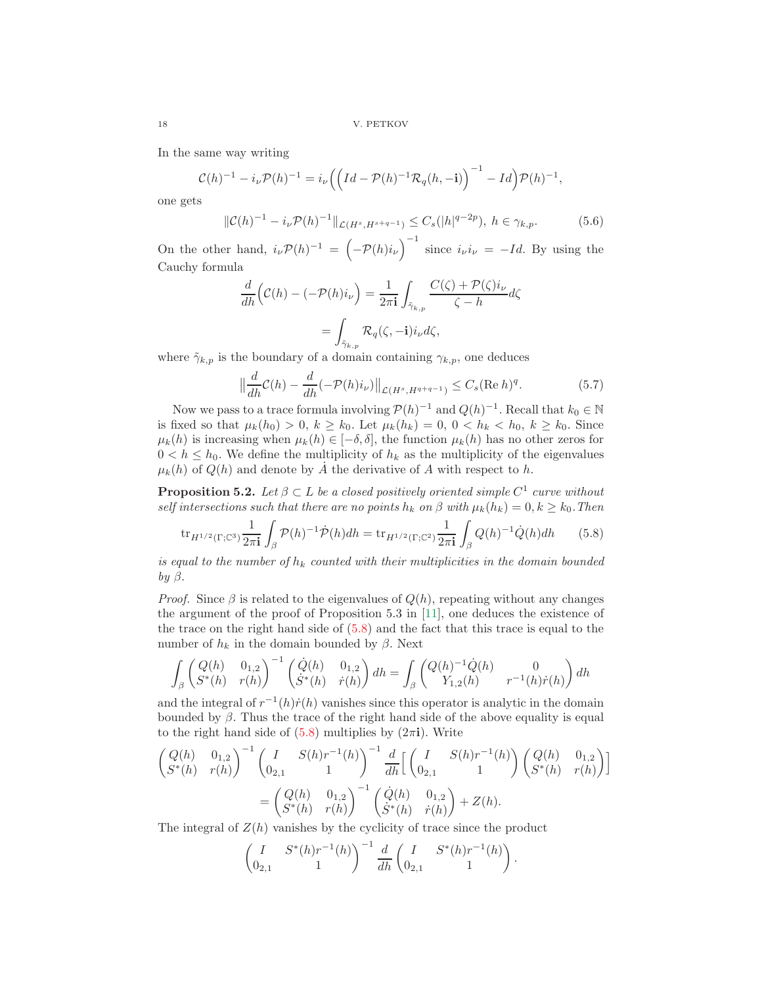In the same way writing

$$
\mathcal{C}(h)^{-1} - i_{\nu} \mathcal{P}(h)^{-1} = i_{\nu} \left( \left( Id - \mathcal{P}(h)^{-1} \mathcal{R}_q(h, -\mathbf{i}) \right)^{-1} - Id \right) \mathcal{P}(h)^{-1},
$$

one gets

<span id="page-17-1"></span>
$$
\|\mathcal{C}(h)^{-1} - i_{\nu} \mathcal{P}(h)^{-1}\|_{\mathcal{L}(H^s, H^{s+q-1})} \le C_s(|h|^{q-2p}), \ h \in \gamma_{k,p}.\tag{5.6}
$$

On the other hand,  $i_{\nu} \mathcal{P}(h)^{-1} = \left(-\mathcal{P}(h)i_{\nu}\right)^{-1}$  since  $i_{\nu}i_{\nu} = -Id$ . By using the Cauchy formula

$$
\frac{d}{dh}\left(\mathcal{C}(h) - \left(-\mathcal{P}(h)i_{\nu}\right)\right) = \frac{1}{2\pi i} \int_{\tilde{\gamma}_{k,p}} \frac{C(\zeta) + \mathcal{P}(\zeta)i_{\nu}}{\zeta - h} d\zeta
$$

$$
= \int_{\tilde{\gamma}_{k,p}} \mathcal{R}_q(\zeta, -\mathbf{i}) i_{\nu} d\zeta,
$$

where  $\tilde{\gamma}_{k,p}$  is the boundary of a domain containing  $\gamma_{k,p}$ , one deduces

<span id="page-17-2"></span>
$$
\left\|\frac{d}{dh}\mathcal{C}(h) - \frac{d}{dh}(-\mathcal{P}(h)i_{\nu})\right\|_{\mathcal{L}(H^s, H^{q+q-1})} \leq C_s (\text{Re } h)^q. \tag{5.7}
$$

Now we pass to a trace formula involving  $P(h)^{-1}$  and  $Q(h)^{-1}$ . Recall that  $k_0 \in \mathbb{N}$ is fixed so that  $\mu_k(h_0) > 0, k \ge k_0$ . Let  $\mu_k(h_k) = 0, 0 < h_k < h_0, k \ge k_0$ . Since  $\mu_k(h)$  is increasing when  $\mu_k(h) \in [-\delta, \delta]$ , the function  $\mu_k(h)$  has no other zeros for  $0 < h \le h_0$ . We define the multiplicity of  $h_k$  as the multiplicity of the eigenvalues  $\mu_k(h)$  of  $Q(h)$  and denote by  $\dot{A}$  the derivative of  $A$  with respect to  $h$ .

**Proposition 5.2.** Let  $\beta \subset L$  be a closed positively oriented simple  $C^1$  curve without self intersections such that there are no points  $h_k$  on  $\beta$  with  $\mu_k(h_k) = 0, k \geq k_0$ . Then

<span id="page-17-0"></span>
$$
\text{tr}_{H^{1/2}(\Gamma; \mathbb{C}^3)} \frac{1}{2\pi \mathbf{i}} \int_{\beta} \mathcal{P}(h)^{-1} \dot{\mathcal{P}}(h) dh = \text{tr}_{H^{1/2}(\Gamma; \mathbb{C}^2)} \frac{1}{2\pi \mathbf{i}} \int_{\beta} Q(h)^{-1} \dot{Q}(h) dh \qquad (5.8)
$$

is equal to the number of  $h_k$  counted with their multiplicities in the domain bounded by  $\beta$ .

*Proof.* Since  $\beta$  is related to the eigenvalues of  $Q(h)$ , repeating without any changes the argument of the proof of Proposition 5.3 in [\[11\]](#page-19-8), one deduces the existence of the trace on the right hand side of  $(5.8)$  and the fact that this trace is equal to the number of  $h_k$  in the domain bounded by β. Next

$$
\int_{\beta} \begin{pmatrix} Q(h) & 0_{1,2} \\ S^*(h) & r(h) \end{pmatrix}^{-1} \begin{pmatrix} \dot{Q}(h) & 0_{1,2} \\ \dot{S}^*(h) & \dot{r}(h) \end{pmatrix} dh = \int_{\beta} \begin{pmatrix} Q(h)^{-1} \dot{Q}(h) & 0 \\ Y_{1,2}(h) & r^{-1}(h)\dot{r}(h) \end{pmatrix} dh
$$

and the integral of  $r^{-1}(h)\dot{r}(h)$  vanishes since this operator is analytic in the domain bounded by  $\beta$ . Thus the trace of the right hand side of the above equality is equal to the right hand side of  $(5.8)$  multiplies by  $(2\pi i)$ . Write

$$
\begin{aligned}\n\begin{pmatrix}\nQ(h) & 0_{1,2} \\
S^*(h) & r(h)\n\end{pmatrix}^{-1} \begin{pmatrix}\nI & S(h)r^{-1}(h) \\
0_{2,1} & 1\n\end{pmatrix}^{-1} \frac{d}{dh} \begin{bmatrix}\nI & S(h)r^{-1}(h) \\
0_{2,1} & 1\n\end{bmatrix} \begin{pmatrix}\nQ(h) & 0_{1,2} \\
S^*(h) & r(h)\n\end{pmatrix} \\
&= \begin{pmatrix}\nQ(h) & 0_{1,2} \\
S^*(h) & r(h)\n\end{pmatrix}^{-1} \begin{pmatrix}\n\dot{Q}(h) & 0_{1,2} \\
\dot{S}^*(h) & \dot{r}(h)\n\end{pmatrix} + Z(h).\n\end{aligned}
$$

The integral of  $Z(h)$  vanishes by the cyclicity of trace since the product

$$
\begin{pmatrix} I & S^*(h)r^{-1}(h) \\ 0_{2,1} & 1 \end{pmatrix}^{-1} \frac{d}{dh} \begin{pmatrix} I & S^*(h)r^{-1}(h) \\ 0_{2,1} & 1 \end{pmatrix}.
$$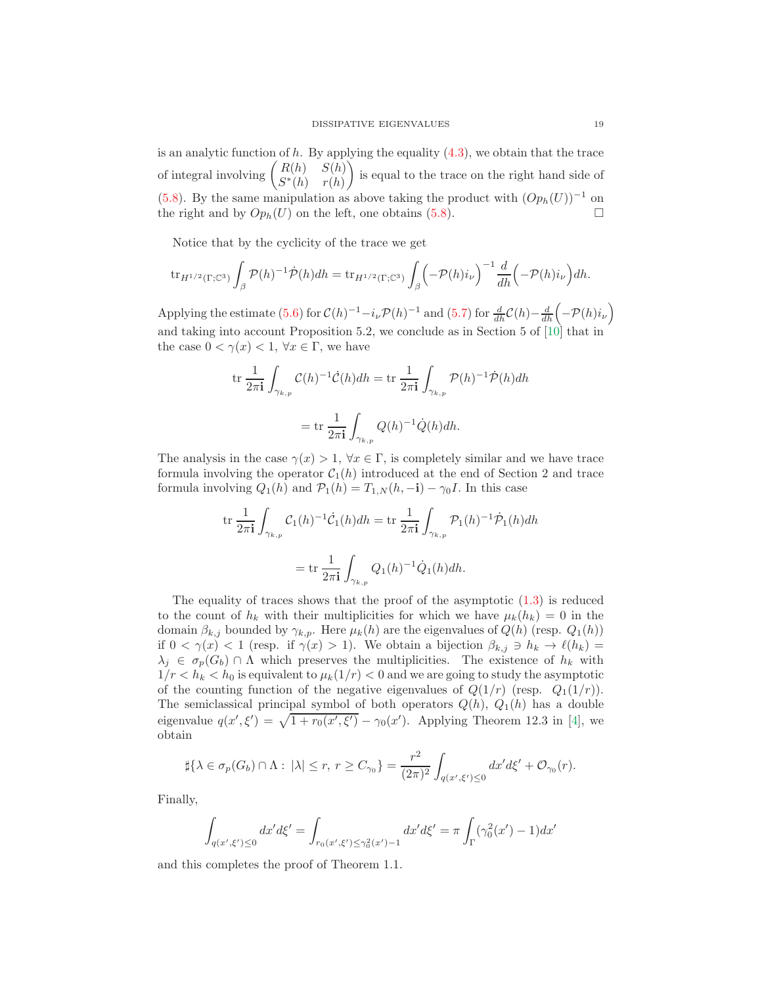is an analytic function of  $h$ . By applying the equality  $(4.3)$ , we obtain that the trace of integral involving  $\begin{pmatrix} R(h) & S(h) \\ S(h) & S(h) \end{pmatrix}$  $S^*(h)$   $r(h)$  is equal to the trace on the right hand side of [\(5.8\)](#page-17-0). By the same manipulation as above taking the product with  $(Op_h(U))^{-1}$  on the right and by  $Op_h(U)$  on the left, one obtains [\(5.8\)](#page-17-0).

Notice that by the cyclicity of the trace we get

$$
\operatorname{tr}_{H^{1/2}(\Gamma; \mathbb{C}^3)} \int_{\beta} \mathcal{P}(h)^{-1} \dot{\mathcal{P}}(h) dh = \operatorname{tr}_{H^{1/2}(\Gamma; \mathbb{C}^3)} \int_{\beta} \left( -\mathcal{P}(h)i_{\nu} \right)^{-1} \frac{d}{dh} \left( -\mathcal{P}(h)i_{\nu} \right) dh.
$$

Applying the estimate [\(5.6\)](#page-17-1) for  $C(h)^{-1} - i_{\nu} \mathcal{P}(h)^{-1}$  and [\(5.7\)](#page-17-2) for  $\frac{d}{dh} \mathcal{C}(h) - \frac{d}{dh} \left(-\mathcal{P}(h)i_{\nu}\right)$ and taking into account Proposition 5.2, we conclude as in Section 5 of [\[10\]](#page-19-3) that in the case  $0 < \gamma(x) < 1$ ,  $\forall x \in \Gamma$ , we have

$$
\operatorname{tr} \frac{1}{2\pi \mathbf{i}} \int_{\gamma_{k,p}} \mathcal{C}(h)^{-1} \dot{\mathcal{C}}(h) dh = \operatorname{tr} \frac{1}{2\pi \mathbf{i}} \int_{\gamma_{k,p}} \mathcal{P}(h)^{-1} \dot{\mathcal{P}}(h) dh
$$

$$
= \operatorname{tr} \frac{1}{2\pi \mathbf{i}} \int_{\gamma_{k,p}} \mathcal{Q}(h)^{-1} \dot{\mathcal{Q}}(h) dh.
$$

The analysis in the case  $\gamma(x) > 1$ ,  $\forall x \in \Gamma$ , is completely similar and we have trace formula involving the operator  $C_1(h)$  introduced at the end of Section 2 and trace formula involving  $Q_1(h)$  and  $\mathcal{P}_1(h) = T_{1,N}(h, -i) - \gamma_0 I$ . In this case

$$
\operatorname{tr} \frac{1}{2\pi \mathbf{i}} \int_{\gamma_{k,p}} C_1(h)^{-1} \dot{C}_1(h) dh = \operatorname{tr} \frac{1}{2\pi \mathbf{i}} \int_{\gamma_{k,p}} \mathcal{P}_1(h)^{-1} \dot{\mathcal{P}}_1(h) dh
$$

$$
= \operatorname{tr} \frac{1}{2\pi \mathbf{i}} \int_{\gamma_{k,p}} Q_1(h)^{-1} \dot{Q}_1(h) dh.
$$

The equality of traces shows that the proof of the asymptotic  $(1.3)$  is reduced to the count of  $h_k$  with their multiplicities for which we have  $\mu_k(h_k) = 0$  in the domain  $\beta_{k,j}$  bounded by  $\gamma_{k,p}$ . Here  $\mu_k(h)$  are the eigenvalues of  $Q(h)$  (resp.  $Q_1(h)$ ) if  $0 < \gamma(x) < 1$  (resp. if  $\gamma(x) > 1$ ). We obtain a bijection  $\beta_{k,j} \ni h_k \to \ell(h_k) =$  $\lambda_j \in \sigma_p(G_b) \cap \Lambda$  which preserves the multiplicities. The existence of  $h_k$  with  $1/r < h_k < h_0$  is equivalent to  $\mu_k(1/r) < 0$  and we are going to study the asymptotic of the counting function of the negative eigenvalues of  $Q(1/r)$  (resp.  $Q_1(1/r)$ ). The semiclassical principal symbol of both operators  $Q(h)$ ,  $Q_1(h)$  has a double eigenvalue  $q(x', \xi') = \sqrt{1 + r_0(x', \xi')} - \gamma_0(x')$ . Applying Theorem 12.3 in [\[4\]](#page-19-10), we obtain

$$
\sharp\{\lambda\in\sigma_p(G_b)\cap\Lambda:\;|\lambda|\le r,\;r\ge C_{\gamma_0}\}=\frac{r^2}{(2\pi)^2}\int_{q(x',\xi')\le 0}dx'd\xi'+\mathcal{O}_{\gamma_0}(r).
$$

Finally,

$$
\int_{q(x',\xi')\leq 0} dx'd\xi' = \int_{r_0(x',\xi')\leq \gamma_0^2(x')-1} dx'd\xi' = \pi \int_{\Gamma} (\gamma_0^2(x')-1)dx'
$$

and this completes the proof of Theorem 1.1.